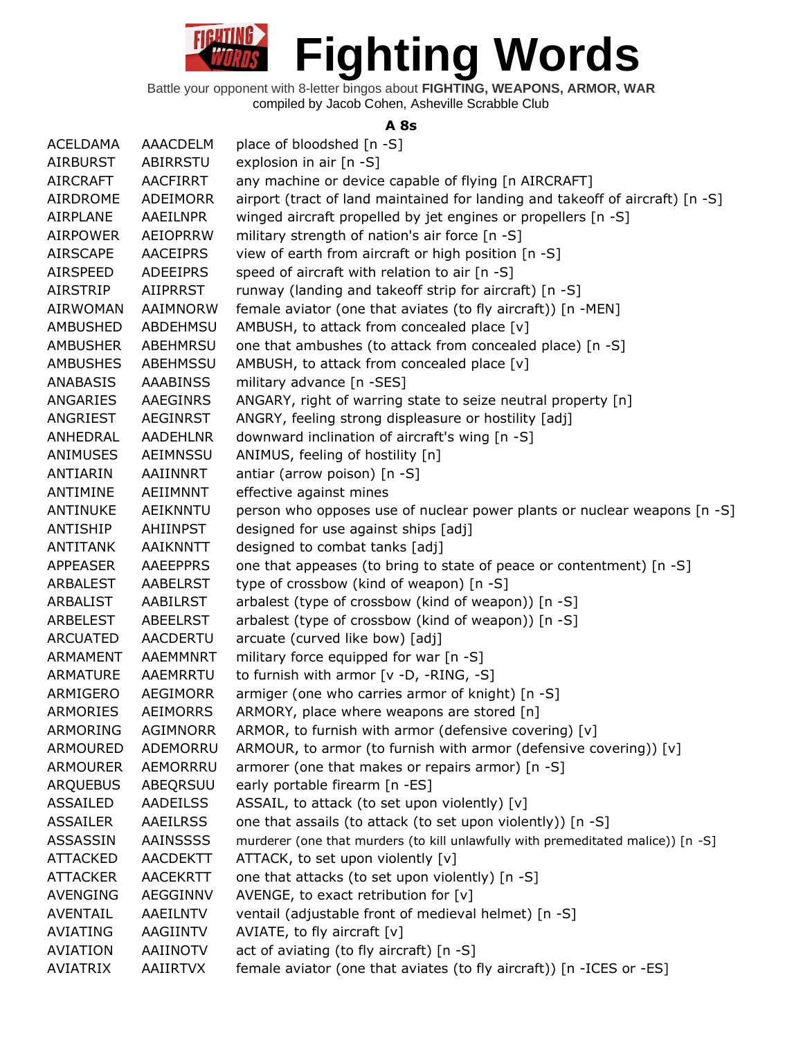

#### **A 8s**

| <b>ACELDAMA</b> | AAACDELM        | place of bloodshed [n -S]                                                        |
|-----------------|-----------------|----------------------------------------------------------------------------------|
| <b>AIRBURST</b> | ABIRRSTU        | explosion in air [n -S]                                                          |
| <b>AIRCRAFT</b> | AACFIRRT        | any machine or device capable of flying [n AIRCRAFT]                             |
| AIRDROME        | <b>ADEIMORR</b> | airport (tract of land maintained for landing and takeoff of aircraft) [n -S]    |
| <b>AIRPLANE</b> | AAEILNPR        | winged aircraft propelled by jet engines or propellers [n -S]                    |
| <b>AIRPOWER</b> | AEIOPRRW        | military strength of nation's air force [n -S]                                   |
| <b>AIRSCAPE</b> | <b>AACEIPRS</b> | view of earth from aircraft or high position [n -S]                              |
| AIRSPEED        | <b>ADEEIPRS</b> | speed of aircraft with relation to air [n -S]                                    |
| <b>AIRSTRIP</b> | <b>AIIPRRST</b> | runway (landing and takeoff strip for aircraft) [n -S]                           |
| AIRWOMAN        | AAIMNORW        | female aviator (one that aviates (to fly aircraft)) [n -MEN]                     |
| <b>AMBUSHED</b> | <b>ABDEHMSU</b> | AMBUSH, to attack from concealed place [v]                                       |
| <b>AMBUSHER</b> | ABEHMRSU        | one that ambushes (to attack from concealed place) [n -S]                        |
| <b>AMBUSHES</b> | ABEHMSSU        | AMBUSH, to attack from concealed place [v]                                       |
| ANABASIS        | <b>AAABINSS</b> | military advance [n -SES]                                                        |
| ANGARIES        | AAEGINRS        | ANGARY, right of warring state to seize neutral property [n]                     |
| ANGRIEST        | <b>AEGINRST</b> | ANGRY, feeling strong displeasure or hostility [adj]                             |
| ANHEDRAL        | <b>AADEHLNR</b> | downward inclination of aircraft's wing [n -S]                                   |
| ANIMUSES        | AEIMNSSU        | ANIMUS, feeling of hostility [n]                                                 |
| ANTIARIN        | AAIINNRT        | antiar (arrow poison) [n -S]                                                     |
| ANTIMINE        | AEIIMNNT        | effective against mines                                                          |
| ANTINUKE        | AEIKNNTU        | person who opposes use of nuclear power plants or nuclear weapons [n -S]         |
| ANTISHIP        | AHIINPST        | designed for use against ships [adj]                                             |
| <b>ANTITANK</b> | AAIKNNTT        | designed to combat tanks [adj]                                                   |
| <b>APPEASER</b> | <b>AAEEPPRS</b> | one that appeases (to bring to state of peace or contentment) [n -S]             |
| ARBALEST        | AABELRST        | type of crossbow (kind of weapon) [n -S]                                         |
| ARBALIST        | AABILRST        | arbalest (type of crossbow (kind of weapon)) [n -S]                              |
| ARBELEST        | ABEELRST        | arbalest (type of crossbow (kind of weapon)) [n -S]                              |
| <b>ARCUATED</b> | <b>AACDERTU</b> | arcuate (curved like bow) [adj]                                                  |
| <b>ARMAMENT</b> | AAEMMNRT        | military force equipped for war [n -S]                                           |
| <b>ARMATURE</b> | AAEMRRTU        | to furnish with armor [v -D, -RING, -S]                                          |
| ARMIGERO        | AEGIMORR        | armiger (one who carries armor of knight) [n -S]                                 |
| <b>ARMORIES</b> | <b>AEIMORRS</b> | ARMORY, place where weapons are stored [n]                                       |
| ARMORING        | <b>AGIMNORR</b> | ARMOR, to furnish with armor (defensive covering) [v]                            |
| <b>ARMOURED</b> | ADEMORRU        | ARMOUR, to armor (to furnish with armor (defensive covering)) [v]                |
| <b>ARMOURER</b> | AEMORRRU        | armorer (one that makes or repairs armor) [n -S]                                 |
| <b>ARQUEBUS</b> | ABEQRSUU        | early portable firearm [n -ES]                                                   |
| <b>ASSAILED</b> | <b>AADEILSS</b> | ASSAIL, to attack (to set upon violently) [v]                                    |
| <b>ASSAILER</b> | <b>AAEILRSS</b> | one that assails (to attack (to set upon violently)) [n -S]                      |
| ASSASSIN        | <b>AAINSSSS</b> | murderer (one that murders (to kill unlawfully with premeditated malice)) [n -S] |
| <b>ATTACKED</b> | <b>AACDEKTT</b> | ATTACK, to set upon violently [v]                                                |
| <b>ATTACKER</b> | <b>AACEKRTT</b> | one that attacks (to set upon violently) [n -S]                                  |
| <b>AVENGING</b> | AEGGINNV        | AVENGE, to exact retribution for $[v]$                                           |
| <b>AVENTAIL</b> | AAEILNTV        | ventail (adjustable front of medieval helmet) [n -S]                             |
| <b>AVIATING</b> | AAGIINTV        | AVIATE, to fly aircraft $[v]$                                                    |
| <b>AVIATION</b> | AAIINOTV        | act of aviating (to fly aircraft) [n -S]                                         |
| <b>AVIATRIX</b> | AAIIRTVX        | female aviator (one that aviates (to fly aircraft)) [n -ICES or -ES]             |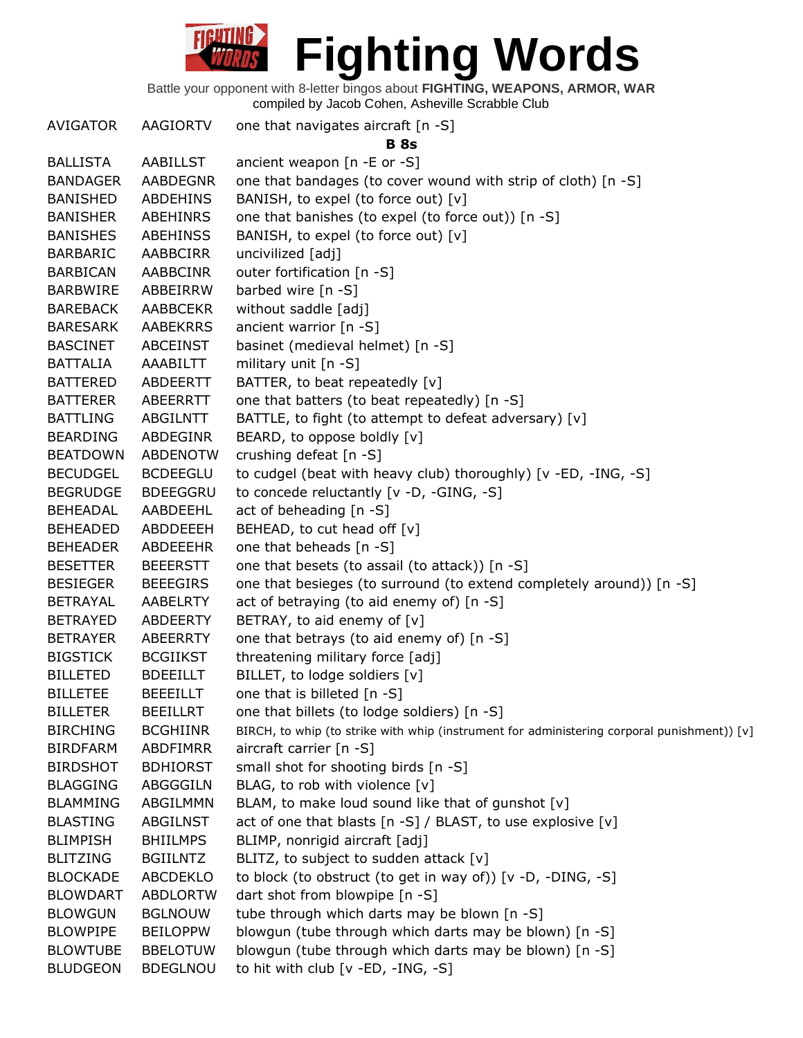Battle your opponent with 8-letter bingos about **FIGHTING, WEAPONS, ARMOR, WAR** compiled by Jacob Cohen, Asheville Scrabble Club

AVIGATOR AAGIORTV one that navigates aircraft [n -S] **B 8s** BALLISTA AABILLST ancient weapon [n -E or -S] BANDAGER AABDEGNR one that bandages (to cover wound with strip of cloth) [n -S] BANISHED ABDEHINS BANISH, to expel (to force out) [v] BANISHER ABEHINRS one that banishes (to expel (to force out)) [n -S] BANISHES ABEHINSS BANISH, to expel (to force out) [v] BARBARIC AABBCIRR uncivilized [adj] BARBICAN AABBCINR outer fortification [n -S] BARBWIRE ABBEIRRW barbed wire [n -S] BAREBACK AABBCEKR without saddle [adj] BARESARK AABEKRRS ancient warrior [n -S] BASCINET ABCEINST basinet (medieval helmet) [n -S] BATTALIA AAABILTT military unit [n -S] BATTERED ABDEERTT BATTER, to beat repeatedly [v] BATTERER ABEERRTT one that batters (to beat repeatedly) [n -S] BATTLING ABGILNTT BATTLE, to fight (to attempt to defeat adversary) [v] BEARDING ABDEGINR BEARD, to oppose boldly [v] BEATDOWN ABDENOTW crushing defeat [n -S] BECUDGEL BCDEEGLU to cudgel (beat with heavy club) thoroughly) [v -ED, -ING, -S] BEGRUDGE BDEEGGRU to concede reluctantly [v -D, -GING, -S] BEHEADAL AABDEEHL act of beheading [n -S] BEHEADED ABDDEEEH BEHEAD, to cut head off [v] BEHEADER ABDEEEHR one that beheads [n -S] BESETTER BEEERSTT one that besets (to assail (to attack)) [n -S] BESIEGER BEEEGIRS one that besieges (to surround (to extend completely around)) [n -S] BETRAYAL AABELRTY act of betraying (to aid enemy of) [n -S] BETRAYED ABDEERTY BETRAY, to aid enemy of [v] BETRAYER ABEERRTY one that betrays (to aid enemy of) [n -S] BIGSTICK BCGIIKST threatening military force [adj] BILLETED BDEEILLT BILLET, to lodge soldiers [v] BILLETEE BEEEILLT one that is billeted [n -S] BILLETER BEEILLRT one that billets (to lodge soldiers) [n -S] BIRCHING BCGHIINR BIRCH, to whip (to strike with whip (instrument for administering corporal punishment)) [v] BIRDFARM ABDFIMRR aircraft carrier [n -S] BIRDSHOT BDHIORST small shot for shooting birds [n -S] BLAGGING ABGGGILN BLAG, to rob with violence [v] BLAMMING ABGILMMN BLAM, to make loud sound like that of gunshot [v] BLASTING ABGILNST act of one that blasts [n -S] / BLAST, to use explosive [v] BLIMPISH BHIILMPS BLIMP, nonrigid aircraft [adj] BLITZING BGIILNTZ BLITZ, to subject to sudden attack [v] BLOCKADE ABCDEKLO to block (to obstruct (to get in way of)) [v -D, -DING, -S] BLOWDART ABDLORTW dart shot from blowpipe [n -S] BLOWGUN BGLNOUW tube through which darts may be blown [n -S] BLOWPIPE BEILOPPW blowgun (tube through which darts may be blown) [n -S] BLOWTUBE BBELOTUW blowgun (tube through which darts may be blown) [n -S] BLUDGEON BDEGLNOU to hit with club [v -ED, -ING, -S]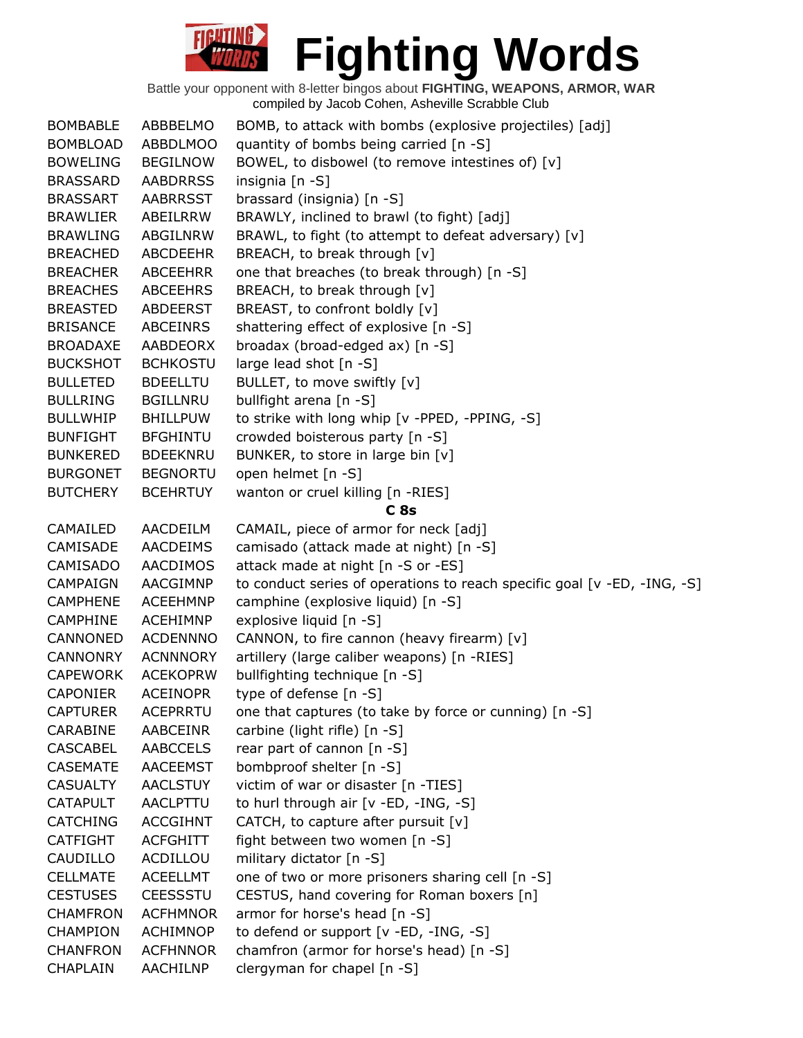| <b>BOMBABLE</b> | ABBBELMO        | BOMB, to attack with bombs (explosive projectiles) [adj]                 |
|-----------------|-----------------|--------------------------------------------------------------------------|
| <b>BOMBLOAD</b> | <b>ABBDLMOO</b> | quantity of bombs being carried [n -S]                                   |
| <b>BOWELING</b> | <b>BEGILNOW</b> | BOWEL, to disbowel (to remove intestines of) [v]                         |
| <b>BRASSARD</b> | <b>AABDRRSS</b> | insignia [n -S]                                                          |
| <b>BRASSART</b> | <b>AABRRSST</b> | brassard (insignia) [n -S]                                               |
| BRAWLIER        | ABEILRRW        | BRAWLY, inclined to brawl (to fight) [adj]                               |
| <b>BRAWLING</b> | ABGILNRW        | BRAWL, to fight (to attempt to defeat adversary) [v]                     |
| <b>BREACHED</b> | ABCDEEHR        | BREACH, to break through [v]                                             |
| <b>BREACHER</b> | <b>ABCEEHRR</b> | one that breaches (to break through) [n -S]                              |
| <b>BREACHES</b> | <b>ABCEEHRS</b> | BREACH, to break through [v]                                             |
| <b>BREASTED</b> | ABDEERST        | BREAST, to confront boldly [v]                                           |
| <b>BRISANCE</b> | ABCEINRS        | shattering effect of explosive [n -S]                                    |
| <b>BROADAXE</b> | AABDEORX        | broadax (broad-edged ax) [n -S]                                          |
| <b>BUCKSHOT</b> | <b>BCHKOSTU</b> | large lead shot [n -S]                                                   |
| <b>BULLETED</b> | <b>BDEELLTU</b> | BULLET, to move swiftly [v]                                              |
| <b>BULLRING</b> | <b>BGILLNRU</b> | bullfight arena [n -S]                                                   |
| <b>BULLWHIP</b> | <b>BHILLPUW</b> | to strike with long whip [v -PPED, -PPING, -S]                           |
| <b>BUNFIGHT</b> | <b>BFGHINTU</b> | crowded boisterous party [n -S]                                          |
| <b>BUNKERED</b> | <b>BDEEKNRU</b> | BUNKER, to store in large bin [v]                                        |
| <b>BURGONET</b> | <b>BEGNORTU</b> | open helmet [n -S]                                                       |
| <b>BUTCHERY</b> | <b>BCEHRTUY</b> | wanton or cruel killing [n -RIES]                                        |
|                 |                 | C <sub>8s</sub>                                                          |
| CAMAILED        | AACDEILM        | CAMAIL, piece of armor for neck [adj]                                    |
| CAMISADE        | <b>AACDEIMS</b> | camisado (attack made at night) [n -S]                                   |
| CAMISADO        | AACDIMOS        | attack made at night [n -S or -ES]                                       |
| <b>CAMPAIGN</b> | AACGIMNP        | to conduct series of operations to reach specific goal [v -ED, -ING, -S] |
| <b>CAMPHENE</b> | <b>ACEEHMNP</b> | camphine (explosive liquid) [n -S]                                       |
| CAMPHINE        | <b>ACEHIMNP</b> | explosive liquid [n -S]                                                  |
| CANNONED        | <b>ACDENNNO</b> | CANNON, to fire cannon (heavy firearm) [v]                               |
| <b>CANNONRY</b> | <b>ACNNNORY</b> | artillery (large caliber weapons) [n -RIES]                              |
| <b>CAPEWORK</b> | <b>ACEKOPRW</b> | bullfighting technique [n -S]                                            |
| <b>CAPONIER</b> | <b>ACEINOPR</b> | type of defense [n -S]                                                   |
| <b>CAPTURER</b> | <b>ACEPRRTU</b> | one that captures (to take by force or cunning) [n -S]                   |
| CARABINE        | <b>AABCEINR</b> | carbine (light rifle) [n -S]                                             |
| <b>CASCABEL</b> | <b>AABCCELS</b> | rear part of cannon [n -S]                                               |
| <b>CASEMATE</b> | <b>AACEEMST</b> | bombproof shelter [n -S]                                                 |
| <b>CASUALTY</b> | <b>AACLSTUY</b> | victim of war or disaster [n -TIES]                                      |
| <b>CATAPULT</b> | <b>AACLPTTU</b> | to hurl through air [v -ED, -ING, -S]                                    |
| <b>CATCHING</b> | <b>ACCGIHNT</b> | CATCH, to capture after pursuit $[v]$                                    |
| <b>CATFIGHT</b> | <b>ACFGHITT</b> | fight between two women [n -S]                                           |
| CAUDILLO        | ACDILLOU        | military dictator [n -S]                                                 |
| <b>CELLMATE</b> | <b>ACEELLMT</b> | one of two or more prisoners sharing cell [n -S]                         |
| <b>CESTUSES</b> | <b>CEESSSTU</b> | CESTUS, hand covering for Roman boxers [n]                               |
| <b>CHAMFRON</b> | <b>ACFHMNOR</b> | armor for horse's head [n -S]                                            |
| <b>CHAMPION</b> | <b>ACHIMNOP</b> | to defend or support [v -ED, -ING, -S]                                   |
| <b>CHANFRON</b> | <b>ACFHNNOR</b> | chamfron (armor for horse's head) [n -S]                                 |
| CHAPLAIN        | AACHILNP        | clergyman for chapel [n -S]                                              |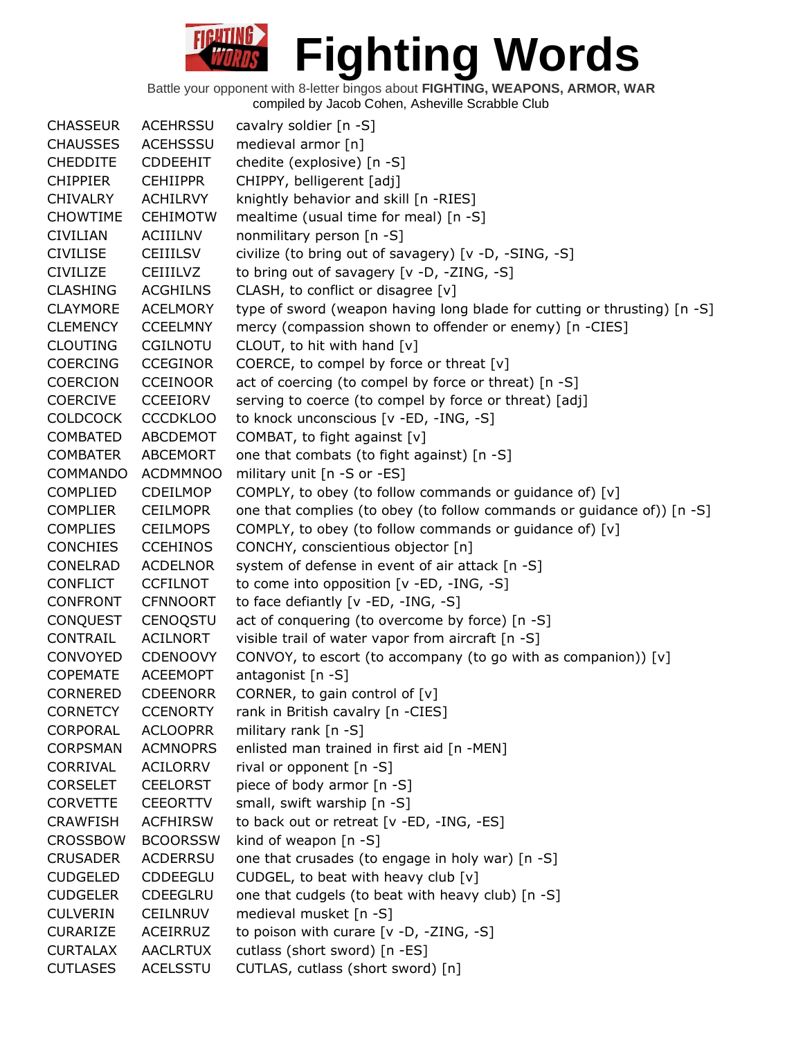| <b>CHASSEUR</b> | <b>ACEHRSSU</b> | cavalry soldier [n -S]                                                   |
|-----------------|-----------------|--------------------------------------------------------------------------|
| <b>CHAUSSES</b> | <b>ACEHSSSU</b> | medieval armor [n]                                                       |
| <b>CHEDDITE</b> | <b>CDDEEHIT</b> | chedite (explosive) [n -S]                                               |
| <b>CHIPPIER</b> | <b>CEHIIPPR</b> | CHIPPY, belligerent [adj]                                                |
| <b>CHIVALRY</b> | <b>ACHILRVY</b> | knightly behavior and skill [n -RIES]                                    |
| <b>CHOWTIME</b> | <b>CEHIMOTW</b> | mealtime (usual time for meal) [n -S]                                    |
| <b>CIVILIAN</b> | <b>ACIIILNV</b> | nonmilitary person [n -S]                                                |
| <b>CIVILISE</b> | <b>CEIIILSV</b> | civilize (to bring out of savagery) [v -D, -SING, -S]                    |
| <b>CIVILIZE</b> | <b>CEIIILVZ</b> | to bring out of savagery [v -D, -ZING, -S]                               |
| <b>CLASHING</b> | <b>ACGHILNS</b> | CLASH, to conflict or disagree [v]                                       |
| <b>CLAYMORE</b> | <b>ACELMORY</b> | type of sword (weapon having long blade for cutting or thrusting) [n -S] |
| <b>CLEMENCY</b> | <b>CCEELMNY</b> | mercy (compassion shown to offender or enemy) [n -CIES]                  |
| <b>CLOUTING</b> | <b>CGILNOTU</b> | CLOUT, to hit with hand [v]                                              |
| <b>COERCING</b> | <b>CCEGINOR</b> | COERCE, to compel by force or threat [v]                                 |
| <b>COERCION</b> | <b>CCEINOOR</b> | act of coercing (to compel by force or threat) [n -S]                    |
| <b>COERCIVE</b> | <b>CCEEIORV</b> | serving to coerce (to compel by force or threat) [adj]                   |
| <b>COLDCOCK</b> | <b>CCCDKLOO</b> | to knock unconscious [v -ED, -ING, -S]                                   |
| <b>COMBATED</b> | ABCDEMOT        | COMBAT, to fight against [v]                                             |
| <b>COMBATER</b> | ABCEMORT        | one that combats (to fight against) [n -S]                               |
| <b>COMMANDO</b> | <b>ACDMMNOO</b> | military unit [n -S or -ES]                                              |
| <b>COMPLIED</b> | <b>CDEILMOP</b> | COMPLY, to obey (to follow commands or guidance of) [v]                  |
| <b>COMPLIER</b> | <b>CEILMOPR</b> | one that complies (to obey (to follow commands or guidance of)) [n -S]   |
| <b>COMPLIES</b> | <b>CEILMOPS</b> | COMPLY, to obey (to follow commands or guidance of) [v]                  |
| <b>CONCHIES</b> | <b>CCEHINOS</b> | CONCHY, conscientious objector [n]                                       |
| CONELRAD        | <b>ACDELNOR</b> | system of defense in event of air attack [n -S]                          |
| <b>CONFLICT</b> | <b>CCFILNOT</b> | to come into opposition [v -ED, -ING, -S]                                |
| <b>CONFRONT</b> | <b>CFNNOORT</b> | to face defiantly [v -ED, -ING, -S]                                      |
| <b>CONQUEST</b> | <b>CENOQSTU</b> | act of conquering (to overcome by force) [n -S]                          |
| CONTRAIL        | ACILNORT        | visible trail of water vapor from aircraft [n -S]                        |
| CONVOYED        | <b>CDENOOVY</b> | CONVOY, to escort (to accompany (to go with as companion)) [v]           |
| <b>COPEMATE</b> | <b>ACEEMOPT</b> | antagonist $[n -S]$                                                      |
| <b>CORNERED</b> | <b>CDEENORR</b> | CORNER, to gain control of [v]                                           |
| <b>CORNETCY</b> | <b>CCENORTY</b> | rank in British cavalry [n -CIES]                                        |
| CORPORAL        | <b>ACLOOPRR</b> | military rank [n -S]                                                     |
| <b>CORPSMAN</b> | <b>ACMNOPRS</b> | enlisted man trained in first aid [n -MEN]                               |
| CORRIVAL        | ACILORRV        | rival or opponent [n -S]                                                 |
| <b>CORSELET</b> | <b>CEELORST</b> | piece of body armor [n -S]                                               |
| <b>CORVETTE</b> | <b>CEEORTTV</b> | small, swift warship [n -S]                                              |
| <b>CRAWFISH</b> | <b>ACFHIRSW</b> | to back out or retreat [v -ED, -ING, -ES]                                |
| <b>CROSSBOW</b> | <b>BCOORSSW</b> | kind of weapon $[n - S]$                                                 |
| <b>CRUSADER</b> | <b>ACDERRSU</b> | one that crusades (to engage in holy war) [n -S]                         |
| <b>CUDGELED</b> | <b>CDDEEGLU</b> | CUDGEL, to beat with heavy club $[v]$                                    |
| <b>CUDGELER</b> | <b>CDEEGLRU</b> | one that cudgels (to beat with heavy club) [n -S]                        |
| <b>CULVERIN</b> | <b>CEILNRUV</b> | medieval musket [n -S]                                                   |
| <b>CURARIZE</b> | ACEIRRUZ        | to poison with curare [v -D, -ZING, -S]                                  |
| <b>CURTALAX</b> | <b>AACLRTUX</b> | cutlass (short sword) [n -ES]                                            |
| <b>CUTLASES</b> | <b>ACELSSTU</b> | CUTLAS, cutlass (short sword) [n]                                        |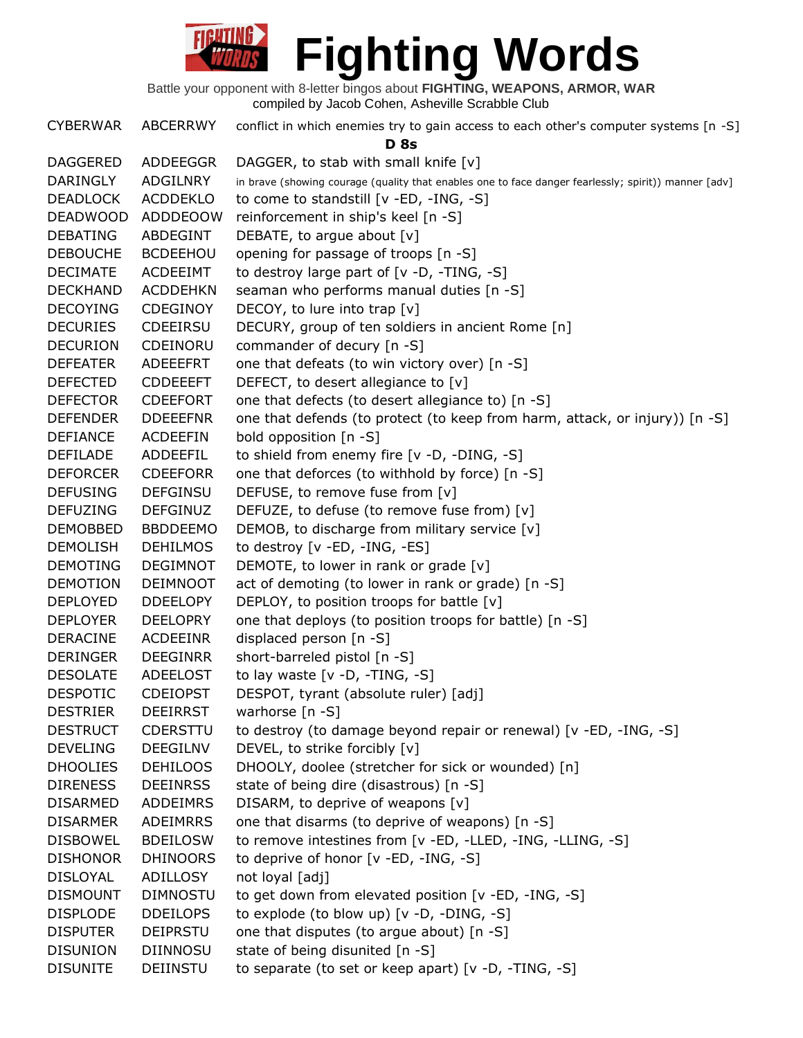

CYBERWAR ABCERRWY conflict in which enemies try to gain access to each other's computer systems [n -S] **D 8s** DAGGERED ADDEEGGR DAGGER, to stab with small knife [v] DARINGLY ADGILNRY in brave (showing courage (quality that enables one to face danger fearlessly; spirit)) manner [adv] DEADLOCK ACDDEKLO to come to standstill [v -ED, -ING, -S] DEADWOOD ADDDEOOW reinforcement in ship's keel [n -S] DEBATING ABDEGINT DEBATE, to argue about [v] DEBOUCHE BCDEEHOU opening for passage of troops [n -S] DECIMATE ACDEEIMT to destroy large part of [v -D, -TING, -S] DECKHAND ACDDEHKN seaman who performs manual duties [n -S] DECOYING CDEGINOY DECOY, to lure into trap [v] DECURIES CDEEIRSU DECURY, group of ten soldiers in ancient Rome [n] DECURION CDEINORU commander of decury [n -S] DEFEATER ADEEEFRT one that defeats (to win victory over) [n -S] DEFECTED CDDEEEFT DEFECT, to desert allegiance to [v] DEFECTOR CDEEFORT one that defects (to desert allegiance to) [n -S] DEFENDER DDEEEFNR one that defends (to protect (to keep from harm, attack, or injury)) [n -S] DEFIANCE ACDEEFIN bold opposition [n -S] DEFILADE ADDEEFIL to shield from enemy fire [v -D, -DING, -S] DEFORCER CDEEFORR one that deforces (to withhold by force) [n -S] DEFUSING DEFGINSU DEFUSE, to remove fuse from [v] DEFUZING DEFGINUZ DEFUZE, to defuse (to remove fuse from) [v] DEMOBBED BBDDEEMO DEMOB, to discharge from military service [v] DEMOLISH DEHILMOS to destroy [v -ED, -ING, -ES] DEMOTING DEGIMNOT DEMOTE, to lower in rank or grade [v] DEMOTION DEIMNOOT act of demoting (to lower in rank or grade) [n -S] DEPLOYED DDEELOPY DEPLOY, to position troops for battle [v] DEPLOYER DEELOPRY one that deploys (to position troops for battle) [n -S] DERACINE ACDEEINR displaced person [n -S] DERINGER DEEGINRR short-barreled pistol [n -S] DESOLATE ADEELOST to lay waste [v -D, -TING, -S] DESPOTIC CDEIOPST DESPOT, tyrant (absolute ruler) [adj] DESTRIER DEEIRRST warhorse [n -S] DESTRUCT CDERSTTU to destroy (to damage beyond repair or renewal) [v -ED, -ING, -S] DEVELING DEEGILNV DEVEL, to strike forcibly [v] DHOOLIES DEHILOOS DHOOLY, doolee (stretcher for sick or wounded) [n] DIRENESS DEEINRSS state of being dire (disastrous) [n -S] DISARMED ADDEIMRS DISARM, to deprive of weapons [v] DISARMER ADEIMRRS one that disarms (to deprive of weapons) [n -S] DISBOWEL BDEILOSW to remove intestines from [v -ED, -LLED, -ING, -LLING, -S] DISHONOR DHINOORS to deprive of honor [v -ED, -ING, -S] DISLOYAL ADILLOSY not loyal [adj] DISMOUNT DIMNOSTU to get down from elevated position [v -ED, -ING, -S] DISPLODE DDEILOPS to explode (to blow up) [v -D, -DING, -S] DISPUTER DEIPRSTU one that disputes (to argue about) [n -S] DISUNION DIINNOSU state of being disunited [n -S] DISUNITE DEIINSTU to separate (to set or keep apart) [v -D, -TING, -S]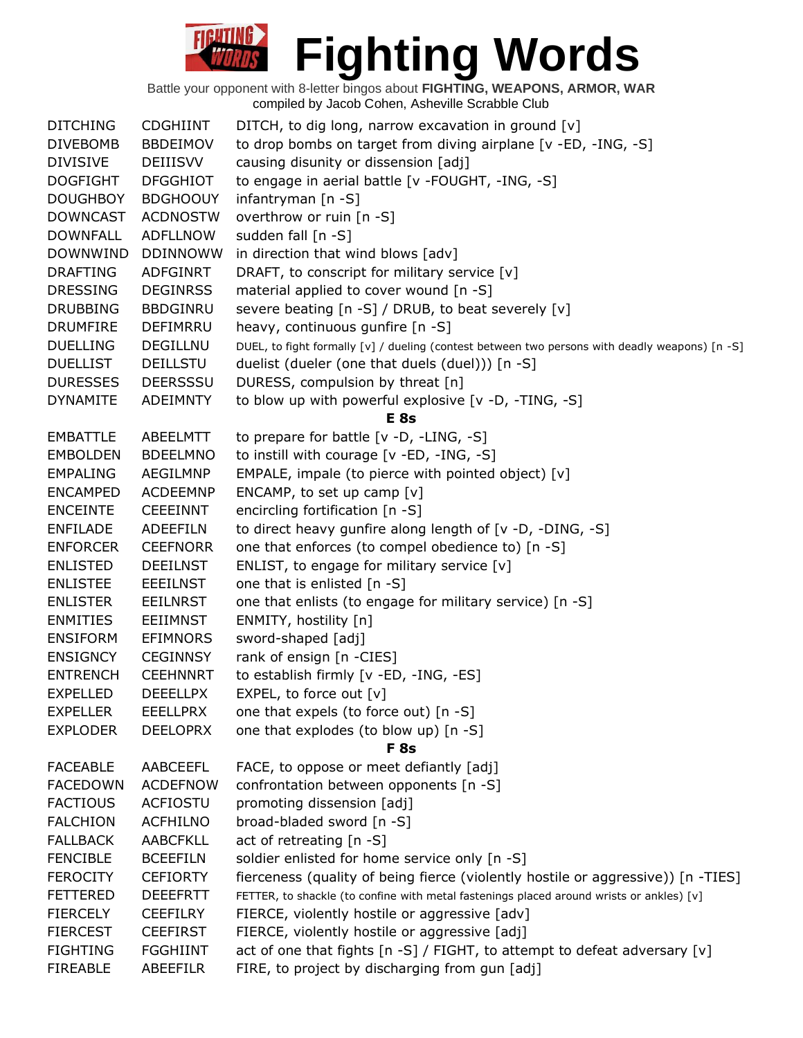| <b>DITCHING</b> | <b>CDGHIINT</b> | DITCH, to dig long, narrow excavation in ground [v]                                            |
|-----------------|-----------------|------------------------------------------------------------------------------------------------|
| <b>DIVEBOMB</b> | <b>BBDEIMOV</b> | to drop bombs on target from diving airplane [v -ED, -ING, -S]                                 |
| <b>DIVISIVE</b> | <b>DEIIISVV</b> | causing disunity or dissension [adj]                                                           |
| <b>DOGFIGHT</b> | <b>DFGGHIOT</b> | to engage in aerial battle [v -FOUGHT, -ING, -S]                                               |
| <b>DOUGHBOY</b> | <b>BDGHOOUY</b> | infantryman [n -S]                                                                             |
| <b>DOWNCAST</b> | <b>ACDNOSTW</b> | overthrow or ruin [n -S]                                                                       |
| <b>DOWNFALL</b> | <b>ADFLLNOW</b> | sudden fall [n -S]                                                                             |
| <b>DOWNWIND</b> | <b>DDINNOWW</b> | in direction that wind blows [adv]                                                             |
| <b>DRAFTING</b> | ADFGINRT        | DRAFT, to conscript for military service [v]                                                   |
| <b>DRESSING</b> | <b>DEGINRSS</b> | material applied to cover wound [n -S]                                                         |
| <b>DRUBBING</b> | <b>BBDGINRU</b> | severe beating [n -S] / DRUB, to beat severely [v]                                             |
| <b>DRUMFIRE</b> | DEFIMRRU        | heavy, continuous gunfire [n -S]                                                               |
| <b>DUELLING</b> | <b>DEGILLNU</b> | DUEL, to fight formally [v] / dueling (contest between two persons with deadly weapons) [n -S] |
| <b>DUELLIST</b> | DEILLSTU        | duelist (dueler (one that duels (duel))) [n -S]                                                |
| <b>DURESSES</b> | <b>DEERSSSU</b> | DURESS, compulsion by threat [n]                                                               |
| <b>DYNAMITE</b> | <b>ADEIMNTY</b> | to blow up with powerful explosive [v -D, -TING, -S]                                           |
|                 |                 | <b>E</b> 8s                                                                                    |
| <b>EMBATTLE</b> | ABEELMTT        | to prepare for battle [v -D, -LING, -S]                                                        |
| <b>EMBOLDEN</b> | <b>BDEELMNO</b> | to instill with courage [v -ED, -ING, -S]                                                      |
| <b>EMPALING</b> | AEGILMNP        | EMPALE, impale (to pierce with pointed object) $[v]$                                           |
| <b>ENCAMPED</b> | <b>ACDEEMNP</b> | ENCAMP, to set up camp $[v]$                                                                   |
| <b>ENCEINTE</b> | <b>CEEEINNT</b> | encircling fortification [n -S]                                                                |
| <b>ENFILADE</b> | <b>ADEEFILN</b> | to direct heavy gunfire along length of [v -D, -DING, -S]                                      |
| <b>ENFORCER</b> | <b>CEEFNORR</b> | one that enforces (to compel obedience to) [n -S]                                              |
| <b>ENLISTED</b> | <b>DEEILNST</b> | ENLIST, to engage for military service [v]                                                     |
| <b>ENLISTEE</b> | <b>EEEILNST</b> | one that is enlisted $[n - S]$                                                                 |
| <b>ENLISTER</b> | <b>EEILNRST</b> | one that enlists (to engage for military service) [n -S]                                       |
| <b>ENMITIES</b> | <b>EEIIMNST</b> | ENMITY, hostility [n]                                                                          |
| <b>ENSIFORM</b> | <b>EFIMNORS</b> | sword-shaped [adj]                                                                             |
| <b>ENSIGNCY</b> | <b>CEGINNSY</b> | rank of ensign [n -CIES]                                                                       |
| <b>ENTRENCH</b> | <b>CEEHNNRT</b> | to establish firmly [v -ED, -ING, -ES]                                                         |
| <b>EXPELLED</b> | <b>DEEELLPX</b> | EXPEL, to force out $[v]$                                                                      |
| <b>EXPELLER</b> | <b>EEELLPRX</b> | one that expels (to force out) [n -S]                                                          |
| <b>EXPLODER</b> | <b>DEELOPRX</b> | one that explodes (to blow up) [n -S]                                                          |
|                 |                 | <b>F</b> 8s                                                                                    |
| <b>FACEABLE</b> | AABCEEFL        | FACE, to oppose or meet defiantly [adj]                                                        |
| <b>FACEDOWN</b> | <b>ACDEFNOW</b> | confrontation between opponents [n -S]                                                         |
| <b>FACTIOUS</b> | <b>ACFIOSTU</b> | promoting dissension [adj]                                                                     |
| <b>FALCHION</b> | <b>ACFHILNO</b> | broad-bladed sword [n -S]                                                                      |
| <b>FALLBACK</b> | <b>AABCFKLL</b> | act of retreating [n -S]                                                                       |
| <b>FENCIBLE</b> | <b>BCEEFILN</b> | soldier enlisted for home service only [n -S]                                                  |
| <b>FEROCITY</b> | <b>CEFIORTY</b> |                                                                                                |
| <b>FETTERED</b> | <b>DEEEFRTT</b> | fierceness (quality of being fierce (violently hostile or aggressive)) [n -TIES]               |
|                 |                 | FETTER, to shackle (to confine with metal fastenings placed around wrists or ankles) [v]       |
| <b>FIERCELY</b> | <b>CEEFILRY</b> | FIERCE, violently hostile or aggressive [adv]                                                  |
| <b>FIERCEST</b> | <b>CEEFIRST</b> | FIERCE, violently hostile or aggressive [adj]                                                  |
| <b>FIGHTING</b> | <b>FGGHIINT</b> | act of one that fights [n -S] / FIGHT, to attempt to defeat adversary [v]                      |
| <b>FIREABLE</b> | ABEEFILR        | FIRE, to project by discharging from gun [adj]                                                 |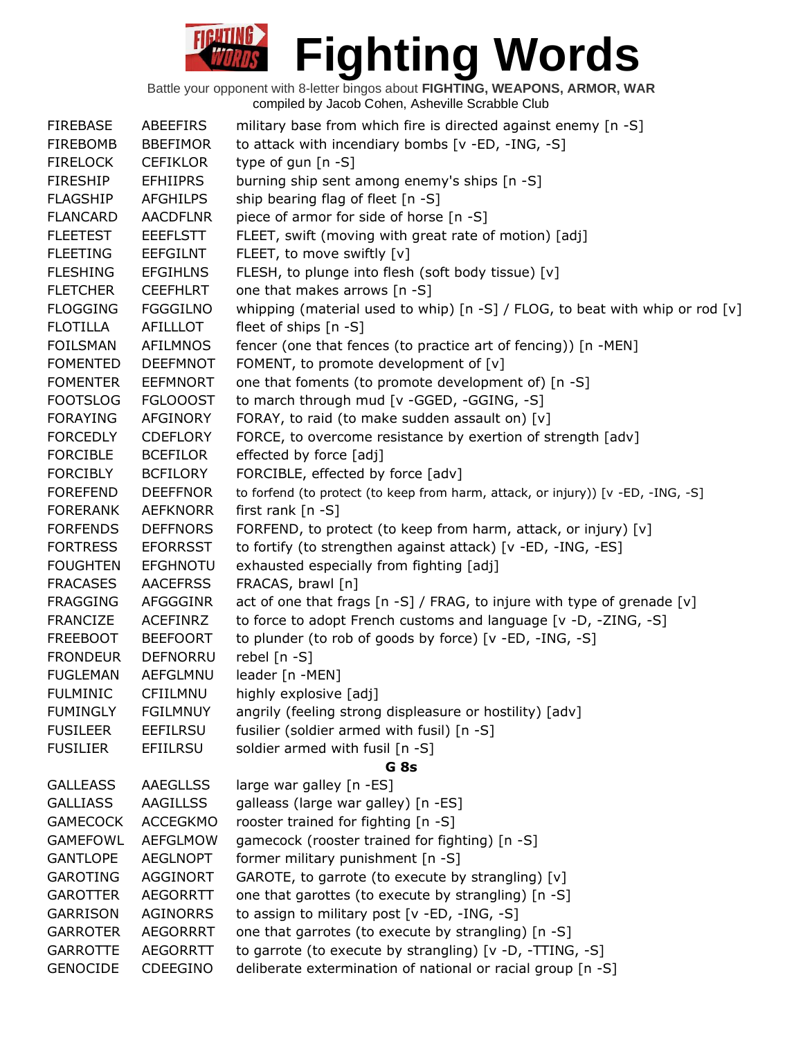| <b>FIREBASE</b> | ABEEFIRS        | military base from which fire is directed against enemy [n -S]                   |
|-----------------|-----------------|----------------------------------------------------------------------------------|
| <b>FIREBOMB</b> | <b>BBEFIMOR</b> | to attack with incendiary bombs [v -ED, -ING, -S]                                |
| <b>FIRELOCK</b> | <b>CEFIKLOR</b> | type of gun [n -S]                                                               |
| <b>FIRESHIP</b> | <b>EFHIIPRS</b> | burning ship sent among enemy's ships [n -S]                                     |
| <b>FLAGSHIP</b> | <b>AFGHILPS</b> | ship bearing flag of fleet [n -S]                                                |
| <b>FLANCARD</b> | <b>AACDFLNR</b> | piece of armor for side of horse [n -S]                                          |
| <b>FLEETEST</b> | <b>EEEFLSTT</b> | FLEET, swift (moving with great rate of motion) [adj]                            |
| <b>FLEETING</b> | <b>EEFGILNT</b> | FLEET, to move swiftly [v]                                                       |
| <b>FLESHING</b> | <b>EFGIHLNS</b> | FLESH, to plunge into flesh (soft body tissue) [v]                               |
| <b>FLETCHER</b> | <b>CEEFHLRT</b> | one that makes arrows [n -S]                                                     |
| <b>FLOGGING</b> | <b>FGGGILNO</b> | whipping (material used to whip) [n -S] / FLOG, to beat with whip or rod [v]     |
| <b>FLOTILLA</b> | <b>AFILLLOT</b> | fleet of ships $[n -S]$                                                          |
| <b>FOILSMAN</b> | <b>AFILMNOS</b> | fencer (one that fences (to practice art of fencing)) [n -MEN]                   |
| <b>FOMENTED</b> | <b>DEEFMNOT</b> | FOMENT, to promote development of [v]                                            |
| <b>FOMENTER</b> | <b>EEFMNORT</b> | one that foments (to promote development of) [n -S]                              |
| <b>FOOTSLOG</b> | <b>FGLOOOST</b> | to march through mud [v -GGED, -GGING, -S]                                       |
| <b>FORAYING</b> | AFGINORY        | FORAY, to raid (to make sudden assault on) [v]                                   |
| <b>FORCEDLY</b> | <b>CDEFLORY</b> | FORCE, to overcome resistance by exertion of strength [adv]                      |
| <b>FORCIBLE</b> | <b>BCEFILOR</b> | effected by force [adj]                                                          |
| <b>FORCIBLY</b> | <b>BCFILORY</b> | FORCIBLE, effected by force [adv]                                                |
| <b>FOREFEND</b> | <b>DEEFFNOR</b> | to forfend (to protect (to keep from harm, attack, or injury)) [v -ED, -ING, -S] |
| <b>FORERANK</b> | <b>AEFKNORR</b> | first rank $[n -S]$                                                              |
| <b>FORFENDS</b> | <b>DEFFNORS</b> | FORFEND, to protect (to keep from harm, attack, or injury) [v]                   |
| <b>FORTRESS</b> | <b>EFORRSST</b> | to fortify (to strengthen against attack) [v -ED, -ING, -ES]                     |
| <b>FOUGHTEN</b> | <b>EFGHNOTU</b> | exhausted especially from fighting [adj]                                         |
| <b>FRACASES</b> | <b>AACEFRSS</b> | FRACAS, brawl [n]                                                                |
| <b>FRAGGING</b> | AFGGGINR        | act of one that frags [n -S] / FRAG, to injure with type of grenade [v]          |
| <b>FRANCIZE</b> | <b>ACEFINRZ</b> | to force to adopt French customs and language [v -D, -ZING, -S]                  |
| <b>FREEBOOT</b> | <b>BEEFOORT</b> | to plunder (to rob of goods by force) [v -ED, -ING, -S]                          |
| <b>FRONDEUR</b> | DEFNORRU        | rebel [n -S]                                                                     |
| <b>FUGLEMAN</b> | AEFGLMNU        | leader [n -MEN]                                                                  |
| <b>FULMINIC</b> | CFIILMNU        | highly explosive [adj]                                                           |
| <b>FUMINGLY</b> | <b>FGILMNUY</b> | angrily (feeling strong displeasure or hostility) [adv]                          |
| <b>FUSILEER</b> | <b>EEFILRSU</b> | fusilier (soldier armed with fusil) [n -S]                                       |
| <b>FUSILIER</b> | <b>EFIILRSU</b> | soldier armed with fusil [n -S]                                                  |
|                 |                 | G <sub>8s</sub>                                                                  |
| <b>GALLEASS</b> | <b>AAEGLLSS</b> | large war galley [n -ES]                                                         |
| <b>GALLIASS</b> | <b>AAGILLSS</b> | galleass (large war galley) [n -ES]                                              |
| <b>GAMECOCK</b> | <b>ACCEGKMO</b> | rooster trained for fighting [n -S]                                              |
| <b>GAMEFOWL</b> | <b>AEFGLMOW</b> | gamecock (rooster trained for fighting) [n -S]                                   |
| <b>GANTLOPE</b> | <b>AEGLNOPT</b> | former military punishment [n -S]                                                |
| <b>GAROTING</b> | <b>AGGINORT</b> | GAROTE, to garrote (to execute by strangling) [v]                                |
| <b>GAROTTER</b> | <b>AEGORRTT</b> | one that garottes (to execute by strangling) [n -S]                              |
| <b>GARRISON</b> | <b>AGINORRS</b> | to assign to military post [v -ED, -ING, -S]                                     |
| <b>GARROTER</b> | <b>AEGORRRT</b> | one that garrotes (to execute by strangling) [n -S]                              |
| <b>GARROTTE</b> | <b>AEGORRTT</b> | to garrote (to execute by strangling) [v -D, -TTING, -S]                         |
| <b>GENOCIDE</b> | CDEEGINO        | deliberate extermination of national or racial group [n -S]                      |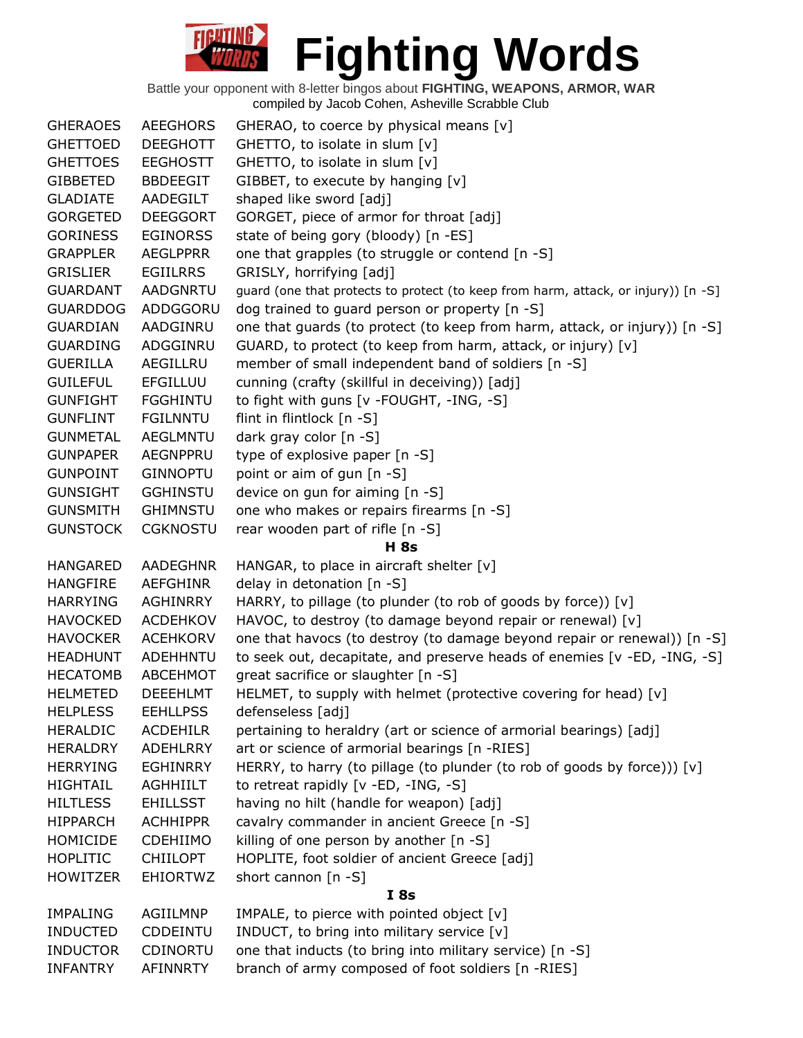| <b>GHERAOES</b> | <b>AEEGHORS</b> | GHERAO, to coerce by physical means [v]                                            |
|-----------------|-----------------|------------------------------------------------------------------------------------|
| <b>GHETTOED</b> | <b>DEEGHOTT</b> | GHETTO, to isolate in slum [v]                                                     |
| <b>GHETTOES</b> | <b>EEGHOSTT</b> | GHETTO, to isolate in slum [v]                                                     |
| <b>GIBBETED</b> | <b>BBDEEGIT</b> | GIBBET, to execute by hanging [v]                                                  |
| <b>GLADIATE</b> | AADEGILT        | shaped like sword [adj]                                                            |
| <b>GORGETED</b> | <b>DEEGGORT</b> | GORGET, piece of armor for throat [adj]                                            |
| <b>GORINESS</b> | <b>EGINORSS</b> | state of being gory (bloody) [n -ES]                                               |
| <b>GRAPPLER</b> | <b>AEGLPPRR</b> | one that grapples (to struggle or contend [n -S]                                   |
| <b>GRISLIER</b> | <b>EGIILRRS</b> | GRISLY, horrifying [adj]                                                           |
| <b>GUARDANT</b> | <b>AADGNRTU</b> | guard (one that protects to protect (to keep from harm, attack, or injury)) [n -S] |
| <b>GUARDDOG</b> | ADDGGORU        | dog trained to guard person or property [n -S]                                     |
| <b>GUARDIAN</b> | AADGINRU        | one that guards (to protect (to keep from harm, attack, or injury)) [n -S]         |
| <b>GUARDING</b> | ADGGINRU        | GUARD, to protect (to keep from harm, attack, or injury) [v]                       |
| <b>GUERILLA</b> | AEGILLRU        | member of small independent band of soldiers [n -S]                                |
| <b>GUILEFUL</b> | <b>EFGILLUU</b> | cunning (crafty (skillful in deceiving)) [adj]                                     |
| <b>GUNFIGHT</b> | <b>FGGHINTU</b> | to fight with guns [v -FOUGHT, -ING, -S]                                           |
| <b>GUNFLINT</b> | <b>FGILNNTU</b> | flint in flintlock [n -S]                                                          |
| <b>GUNMETAL</b> | <b>AEGLMNTU</b> | dark gray color [n -S]                                                             |
| <b>GUNPAPER</b> | AEGNPPRU        | type of explosive paper [n -S]                                                     |
| <b>GUNPOINT</b> | <b>GINNOPTU</b> | point or aim of gun [n -S]                                                         |
| <b>GUNSIGHT</b> | <b>GGHINSTU</b> | device on gun for aiming [n -S]                                                    |
| <b>GUNSMITH</b> | <b>GHIMNSTU</b> | one who makes or repairs firearms [n -S]                                           |
| <b>GUNSTOCK</b> | <b>CGKNOSTU</b> | rear wooden part of rifle [n -S]                                                   |
|                 |                 | <b>H</b> 8s                                                                        |
| <b>HANGARED</b> | <b>AADEGHNR</b> | HANGAR, to place in aircraft shelter [v]                                           |
| <b>HANGFIRE</b> | <b>AEFGHINR</b> | delay in detonation [n -S]                                                         |
| <b>HARRYING</b> | AGHINRRY        | HARRY, to pillage (to plunder (to rob of goods by force)) [v]                      |
| <b>HAVOCKED</b> | <b>ACDEHKOV</b> | HAVOC, to destroy (to damage beyond repair or renewal) [v]                         |
| <b>HAVOCKER</b> | <b>ACEHKORV</b> | one that havocs (to destroy (to damage beyond repair or renewal)) [n -S]           |
| <b>HEADHUNT</b> | <b>ADEHHNTU</b> | to seek out, decapitate, and preserve heads of enemies [v -ED, -ING, -S]           |
| <b>HECATOMB</b> | <b>ABCEHMOT</b> | great sacrifice or slaughter [n -S]                                                |
| <b>HELMETED</b> | <b>DEEEHLMT</b> | HELMET, to supply with helmet (protective covering for head) [v]                   |
| <b>HELPLESS</b> | <b>EEHLLPSS</b> | defenseless [adj]                                                                  |
| <b>HERALDIC</b> | <b>ACDEHILR</b> | pertaining to heraldry (art or science of armorial bearings) [adj]                 |
| <b>HERALDRY</b> | <b>ADEHLRRY</b> | art or science of armorial bearings [n -RIES]                                      |
| <b>HERRYING</b> | <b>EGHINRRY</b> | HERRY, to harry (to pillage (to plunder (to rob of goods by force))) [v]           |
| <b>HIGHTAIL</b> | AGHHIILT        | to retreat rapidly [v -ED, -ING, -S]                                               |
| <b>HILTLESS</b> | <b>EHILLSST</b> | having no hilt (handle for weapon) [adj]                                           |
| <b>HIPPARCH</b> | <b>ACHHIPPR</b> | cavalry commander in ancient Greece [n -S]                                         |
| HOMICIDE        | <b>CDEHIIMO</b> | killing of one person by another [n -S]                                            |
| <b>HOPLITIC</b> | <b>CHIILOPT</b> | HOPLITE, foot soldier of ancient Greece [adj]                                      |
| <b>HOWITZER</b> | <b>EHIORTWZ</b> | short cannon $[n - S]$                                                             |
|                 |                 | I8s                                                                                |
| <b>IMPALING</b> | AGIILMNP        | IMPALE, to pierce with pointed object [v]                                          |
| <b>INDUCTED</b> |                 |                                                                                    |
|                 | <b>CDDEINTU</b> | INDUCT, to bring into military service [v]                                         |
| <b>INDUCTOR</b> | <b>CDINORTU</b> | one that inducts (to bring into military service) [n -S]                           |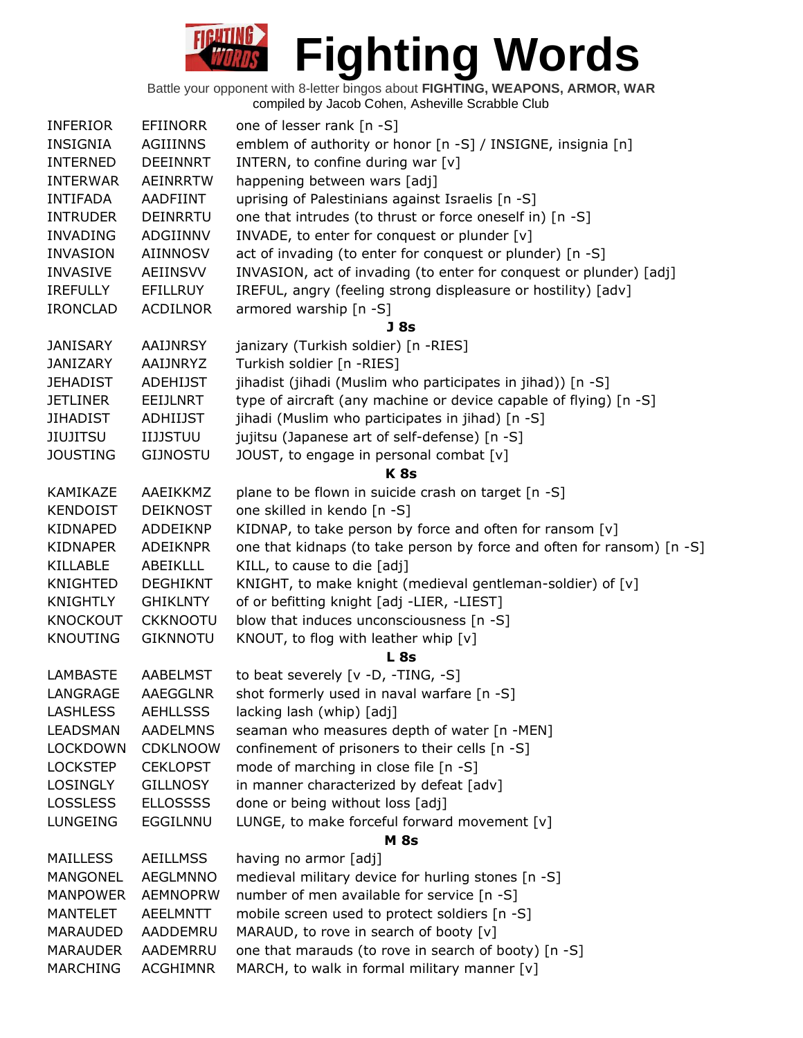| <b>INFERIOR</b> | <b>EFIINORR</b> | one of lesser rank [n -S]                                              |
|-----------------|-----------------|------------------------------------------------------------------------|
| <b>INSIGNIA</b> | <b>AGIIINNS</b> | emblem of authority or honor [n -S] / INSIGNE, insignia [n]            |
| <b>INTERNED</b> | <b>DEEINNRT</b> | INTERN, to confine during war [v]                                      |
| <b>INTERWAR</b> | <b>AEINRRTW</b> | happening between wars [adj]                                           |
| <b>INTIFADA</b> | <b>AADFIINT</b> | uprising of Palestinians against Israelis [n -S]                       |
| <b>INTRUDER</b> | DEINRRTU        | one that intrudes (to thrust or force oneself in) [n -S]               |
| <b>INVADING</b> | ADGIINNV        | INVADE, to enter for conquest or plunder [v]                           |
| <b>INVASION</b> | <b>AIINNOSV</b> | act of invading (to enter for conquest or plunder) [n -S]              |
| <b>INVASIVE</b> | AEIINSVV        | INVASION, act of invading (to enter for conquest or plunder) [adj]     |
| <b>IREFULLY</b> | EFILLRUY        | IREFUL, angry (feeling strong displeasure or hostility) [adv]          |
| <b>IRONCLAD</b> | <b>ACDILNOR</b> | armored warship [n -S]                                                 |
|                 |                 | J 8s                                                                   |
| <b>JANISARY</b> | AAIJNRSY        | janizary (Turkish soldier) [n -RIES]                                   |
| <b>JANIZARY</b> | AAIJNRYZ        | Turkish soldier [n -RIES]                                              |
| <b>JEHADIST</b> | <b>ADEHIJST</b> | jihadist (jihadi (Muslim who participates in jihad)) [n -S]            |
| <b>JETLINER</b> | EEIJLNRT        | type of aircraft (any machine or device capable of flying) [n -S]      |
| <b>JIHADIST</b> | <b>ADHIIJST</b> | jihadi (Muslim who participates in jihad) [n -S]                       |
| <b>JIUJITSU</b> | <b>IIJJSTUU</b> | jujitsu (Japanese art of self-defense) [n -S]                          |
| <b>JOUSTING</b> | <b>GIJNOSTU</b> | JOUST, to engage in personal combat [v]                                |
|                 |                 | <b>K8s</b>                                                             |
| KAMIKAZE        | AAEIKKMZ        | plane to be flown in suicide crash on target [n -S]                    |
| <b>KENDOIST</b> | <b>DEIKNOST</b> | one skilled in kendo [n -S]                                            |
| KIDNAPED        | ADDEIKNP        | KIDNAP, to take person by force and often for ransom [v]               |
| KIDNAPER        | ADEIKNPR        | one that kidnaps (to take person by force and often for ransom) [n -S] |
| KILLABLE        | ABEIKLLL        | KILL, to cause to die [adj]                                            |
| <b>KNIGHTED</b> | <b>DEGHIKNT</b> | KNIGHT, to make knight (medieval gentleman-soldier) of [v]             |
| <b>KNIGHTLY</b> | <b>GHIKLNTY</b> | of or befitting knight [adj -LIER, -LIEST]                             |
| <b>KNOCKOUT</b> | <b>CKKNOOTU</b> | blow that induces unconsciousness [n -S]                               |
| <b>KNOUTING</b> | <b>GIKNNOTU</b> | KNOUT, to flog with leather whip [v]                                   |
|                 |                 | <b>L</b> 8s                                                            |
| <b>LAMBASTE</b> | <b>AABELMST</b> | to beat severely [v -D, -TING, -S]                                     |
| LANGRAGE        | <b>AAEGGLNR</b> | shot formerly used in naval warfare [n -S]                             |
| <b>LASHLESS</b> | <b>AEHLLSSS</b> | lacking lash (whip) [adj]                                              |
| <b>LEADSMAN</b> | <b>AADELMNS</b> | seaman who measures depth of water [n -MEN]                            |
| <b>LOCKDOWN</b> | <b>CDKLNOOW</b> | confinement of prisoners to their cells [n -S]                         |
| <b>LOCKSTEP</b> | <b>CEKLOPST</b> | mode of marching in close file [n -S]                                  |
| <b>LOSINGLY</b> | <b>GILLNOSY</b> | in manner characterized by defeat [adv]                                |
| <b>LOSSLESS</b> | <b>ELLOSSSS</b> | done or being without loss [adj]                                       |
| <b>LUNGEING</b> | EGGILNNU        | LUNGE, to make forceful forward movement [v]                           |
|                 |                 | <b>M</b> 8s                                                            |
| <b>MAILLESS</b> | <b>AEILLMSS</b> | having no armor [adj]                                                  |
| <b>MANGONEL</b> | <b>AEGLMNNO</b> | medieval military device for hurling stones [n -S]                     |
| <b>MANPOWER</b> | <b>AEMNOPRW</b> | number of men available for service [n -S]                             |
| <b>MANTELET</b> | <b>AEELMNTT</b> | mobile screen used to protect soldiers [n -S]                          |
| MARAUDED        | AADDEMRU        | MARAUD, to rove in search of booty [v]                                 |
| MARAUDER        | AADEMRRU        | one that marauds (to rove in search of booty) [n -S]                   |
| <b>MARCHING</b> | <b>ACGHIMNR</b> | MARCH, to walk in formal military manner [v]                           |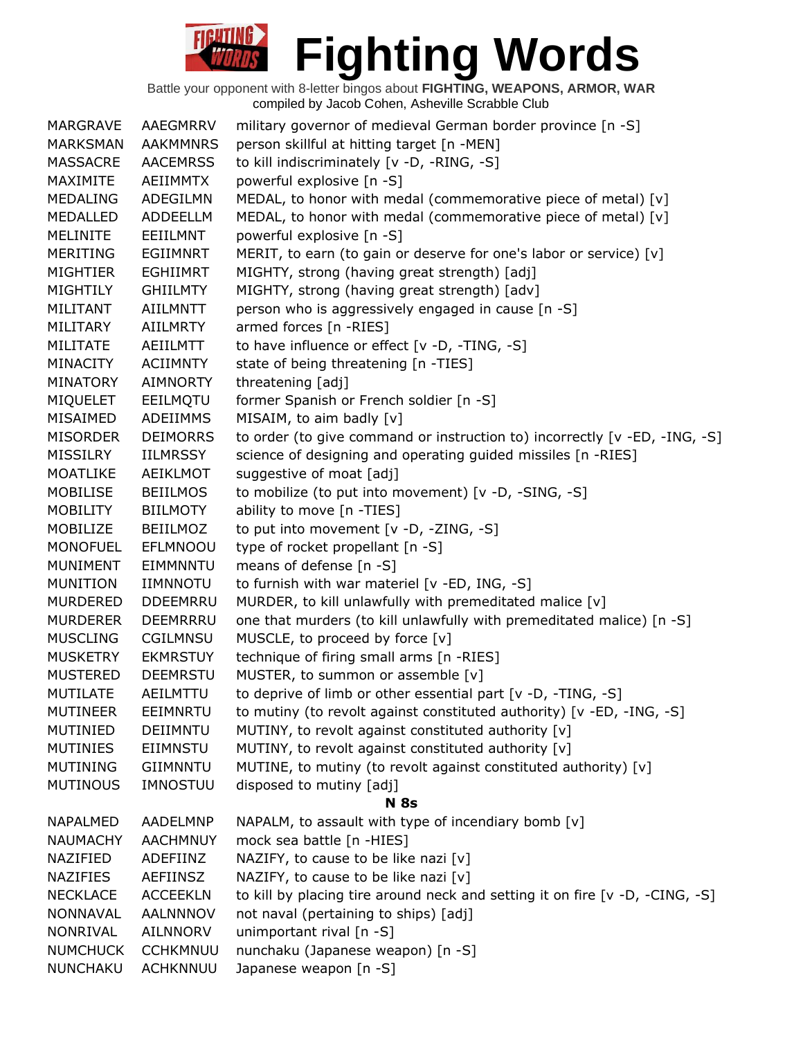| <b>MARGRAVE</b> | <b>AAEGMRRV</b> | military governor of medieval German border province [n -S]                  |
|-----------------|-----------------|------------------------------------------------------------------------------|
| <b>MARKSMAN</b> | <b>AAKMMNRS</b> | person skillful at hitting target [n -MEN]                                   |
| MASSACRE        | <b>AACEMRSS</b> | to kill indiscriminately [v -D, -RING, -S]                                   |
| MAXIMITE        | AEIIMMTX        | powerful explosive [n -S]                                                    |
| <b>MEDALING</b> | ADEGILMN        | MEDAL, to honor with medal (commemorative piece of metal) [v]                |
| MEDALLED        | ADDEELLM        | MEDAL, to honor with medal (commemorative piece of metal) [v]                |
| <b>MELINITE</b> | EEIILMNT        | powerful explosive [n -S]                                                    |
| <b>MERITING</b> | <b>EGIIMNRT</b> | MERIT, to earn (to gain or deserve for one's labor or service) [v]           |
| <b>MIGHTIER</b> | <b>EGHIIMRT</b> | MIGHTY, strong (having great strength) [adj]                                 |
| MIGHTILY        | <b>GHIILMTY</b> | MIGHTY, strong (having great strength) [adv]                                 |
| MILITANT        | <b>AIILMNTT</b> | person who is aggressively engaged in cause [n -S]                           |
| MILITARY        | <b>AIILMRTY</b> | armed forces [n -RIES]                                                       |
| <b>MILITATE</b> | AEIILMTT        | to have influence or effect [v -D, -TING, -S]                                |
| <b>MINACITY</b> | <b>ACIIMNTY</b> | state of being threatening [n -TIES]                                         |
| MINATORY        | <b>AIMNORTY</b> | threatening [adj]                                                            |
| MIQUELET        | EEILMQTU        | former Spanish or French soldier [n -S]                                      |
| MISAIMED        | <b>ADEIIMMS</b> | MISAIM, to aim badly [v]                                                     |
| <b>MISORDER</b> | <b>DEIMORRS</b> | to order (to give command or instruction to) incorrectly [v -ED, -ING, -S]   |
| <b>MISSILRY</b> | IILMRSSY        | science of designing and operating guided missiles [n -RIES]                 |
| <b>MOATLIKE</b> | AEIKLMOT        | suggestive of moat [adj]                                                     |
| <b>MOBILISE</b> | <b>BEIILMOS</b> | to mobilize (to put into movement) [v -D, -SING, -S]                         |
| <b>MOBILITY</b> | BIILMOTY        | ability to move [n -TIES]                                                    |
| MOBILIZE        | <b>BEIILMOZ</b> | to put into movement [v -D, -ZING, -S]                                       |
| <b>MONOFUEL</b> | EFLMNOOU        | type of rocket propellant [n -S]                                             |
| MUNIMENT        | EIMMNNTU        | means of defense [n -S]                                                      |
| <b>MUNITION</b> | IIMNNOTU        | to furnish with war materiel [v -ED, ING, -S]                                |
| <b>MURDERED</b> | <b>DDEEMRRU</b> | MURDER, to kill unlawfully with premeditated malice [v]                      |
| <b>MURDERER</b> | <b>DEEMRRRU</b> | one that murders (to kill unlawfully with premeditated malice) [n -S]        |
| <b>MUSCLING</b> | CGILMNSU        | MUSCLE, to proceed by force [v]                                              |
| <b>MUSKETRY</b> | <b>EKMRSTUY</b> | technique of firing small arms [n -RIES]                                     |
| <b>MUSTERED</b> | <b>DEEMRSTU</b> | MUSTER, to summon or assemble [v]                                            |
| <b>MUTILATE</b> | AEILMTTU        | to deprive of limb or other essential part [v -D, -TING, -S]                 |
| <b>MUTINEER</b> | EEIMNRTU        | to mutiny (to revolt against constituted authority) [v -ED, -ING, -S]        |
| MUTINIED        | DEIIMNTU        | MUTINY, to revolt against constituted authority [v]                          |
| <b>MUTINIES</b> | EIIMNSTU        | MUTINY, to revolt against constituted authority [v]                          |
| <b>MUTINING</b> | GIIMNNTU        | MUTINE, to mutiny (to revolt against constituted authority) [v]              |
| <b>MUTINOUS</b> | IMNOSTUU        | disposed to mutiny [adj]                                                     |
|                 |                 | <b>N</b> 8s                                                                  |
| <b>NAPALMED</b> | AADELMNP        | NAPALM, to assault with type of incendiary bomb [v]                          |
| <b>NAUMACHY</b> | <b>AACHMNUY</b> | mock sea battle [n -HIES]                                                    |
| NAZIFIED        | ADEFIINZ        | NAZIFY, to cause to be like nazi [v]                                         |
| NAZIFIES        | AEFIINSZ        | NAZIFY, to cause to be like nazi [v]                                         |
| <b>NECKLACE</b> | <b>ACCEEKLN</b> | to kill by placing tire around neck and setting it on fire [v -D, -CING, -S] |
| NONNAVAL        | <b>AALNNNOV</b> | not naval (pertaining to ships) [adj]                                        |
| NONRIVAL        | AILNNORV        | unimportant rival [n -S]                                                     |
| <b>NUMCHUCK</b> | <b>CCHKMNUU</b> | nunchaku (Japanese weapon) [n -S]                                            |
| NUNCHAKU        | <b>ACHKNNUU</b> | Japanese weapon [n -S]                                                       |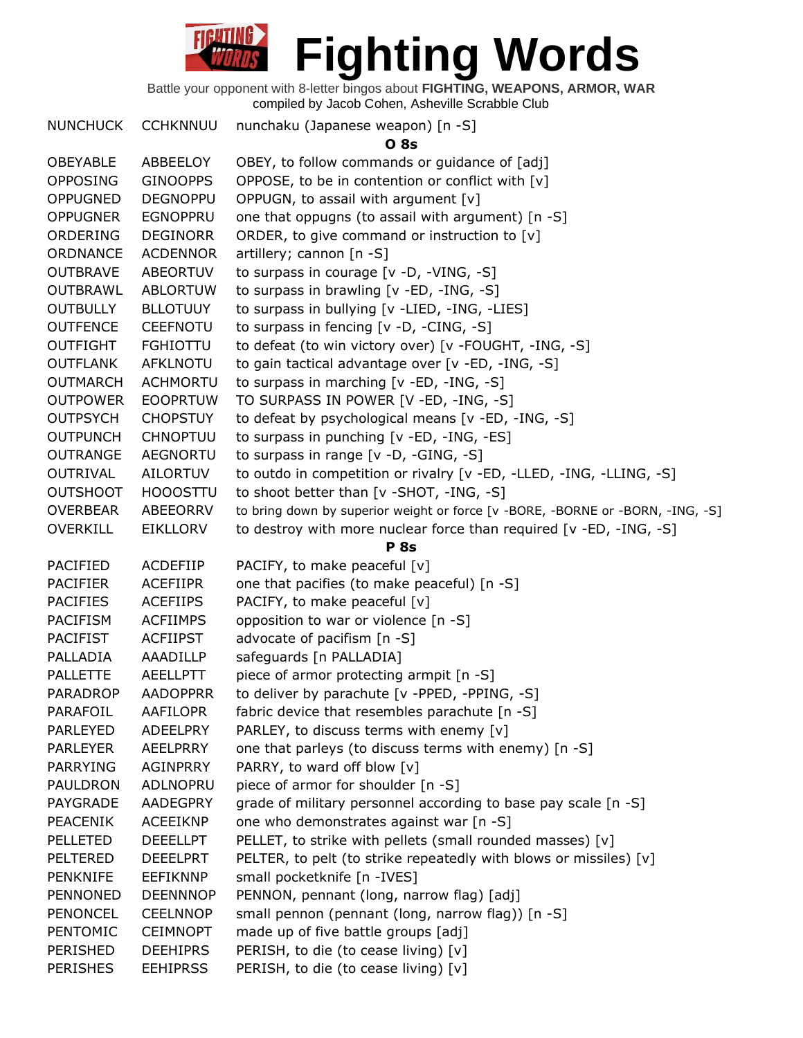Battle your opponent with 8-letter bingos about **FIGHTING, WEAPONS, ARMOR, WAR** compiled by Jacob Cohen, Asheville Scrabble Club

NUNCHUCK CCHKNNUU nunchaku (Japanese weapon) [n -S] **O 8s**  OBEYABLE ABBEELOY OBEY, to follow commands or guidance of [adj] OPPOSING GINOOPPS OPPOSE, to be in contention or conflict with  $[v]$ OPPUGNED DEGNOPPU OPPUGN, to assail with argument [v] OPPUGNER EGNOPPRU one that oppugns (to assail with argument) [n -S] ORDERING DEGINORR ORDER, to give command or instruction to [v] ORDNANCE ACDENNOR artillery; cannon [n -S] OUTBRAVE ABEORTUV to surpass in courage [v -D, -VING, -S] OUTBRAWL ABLORTUW to surpass in brawling [v -ED, -ING, -S] OUTBULLY BLLOTUUY to surpass in bullying [v -LIED, -ING, -LIES] OUTFENCE CEEFNOTU to surpass in fencing [v -D, -CING, -S] OUTFIGHT FGHIOTTU to defeat (to win victory over) [v -FOUGHT, -ING, -S] OUTFLANK AFKLNOTU to gain tactical advantage over [v -ED, -ING, -S] OUTMARCH ACHMORTU to surpass in marching [v -ED, -ING, -S] OUTPOWER EOOPRTUW TO SURPASS IN POWER [V -ED, -ING, -S] OUTPSYCH CHOPSTUY to defeat by psychological means [v -ED, -ING, -S] OUTPUNCH CHNOPTUU to surpass in punching [v -ED, -ING, -ES] OUTRANGE AEGNORTU to surpass in range [v -D, -GING, -S] OUTRIVAL AILORTUV to outdo in competition or rivalry [v -ED, -LLED, -ING, -LLING, -S] OUTSHOOT HOOOSTTU to shoot better than [v -SHOT, -ING, -S] OVERBEAR ABEEORRV to bring down by superior weight or force [v -BORE, -BORNE or -BORN, -ING, -S] OVERKILL EIKLLORV to destroy with more nuclear force than required [v -ED, -ING, -S] **P 8s** PACIFIED ACDEFIIP PACIFY, to make peaceful [v] PACIFIER ACEFIIPR one that pacifies (to make peaceful) [n -S] PACIFIES ACEFIIPS PACIFY, to make peaceful [v] PACIFISM ACFIIMPS opposition to war or violence [n -S] PACIFIST ACFIIPST advocate of pacifism [n -S] PALLADIA AAADILLP safeguards [n PALLADIA] PALLETTE AEELLPTT piece of armor protecting armpit [n -S] PARADROP AADOPPRR to deliver by parachute [v -PPED, -PPING, -S] PARAFOIL AAFILOPR fabric device that resembles parachute [n -S] PARLEYED ADEELPRY PARLEY, to discuss terms with enemy [v] PARLEYER AEELPRRY one that parleys (to discuss terms with enemy) [n -S] PARRYING AGINPRRY PARRY, to ward off blow [v] PAULDRON ADLNOPRU piece of armor for shoulder [n -S] PAYGRADE AADEGPRY grade of military personnel according to base pay scale [n -S] PEACENIK ACEEIKNP one who demonstrates against war [n -S] PELLETED DEEELLPT PELLET, to strike with pellets (small rounded masses) [v] PELTERED DEEELPRT PELTER, to pelt (to strike repeatedly with blows or missiles)  $[v]$ PENKNIFE EEFIKNNP small pocketknife [n -IVES] PENNONED DEENNNOP PENNON, pennant (long, narrow flag) [adj] PENONCEL CEELNNOP small pennon (pennant (long, narrow flag)) [n -S] PENTOMIC CEIMNOPT made up of five battle groups [adj] PERISHED DEEHIPRS PERISH, to die (to cease living) [v] PERISHES EEHIPRSS PERISH, to die (to cease living) [v]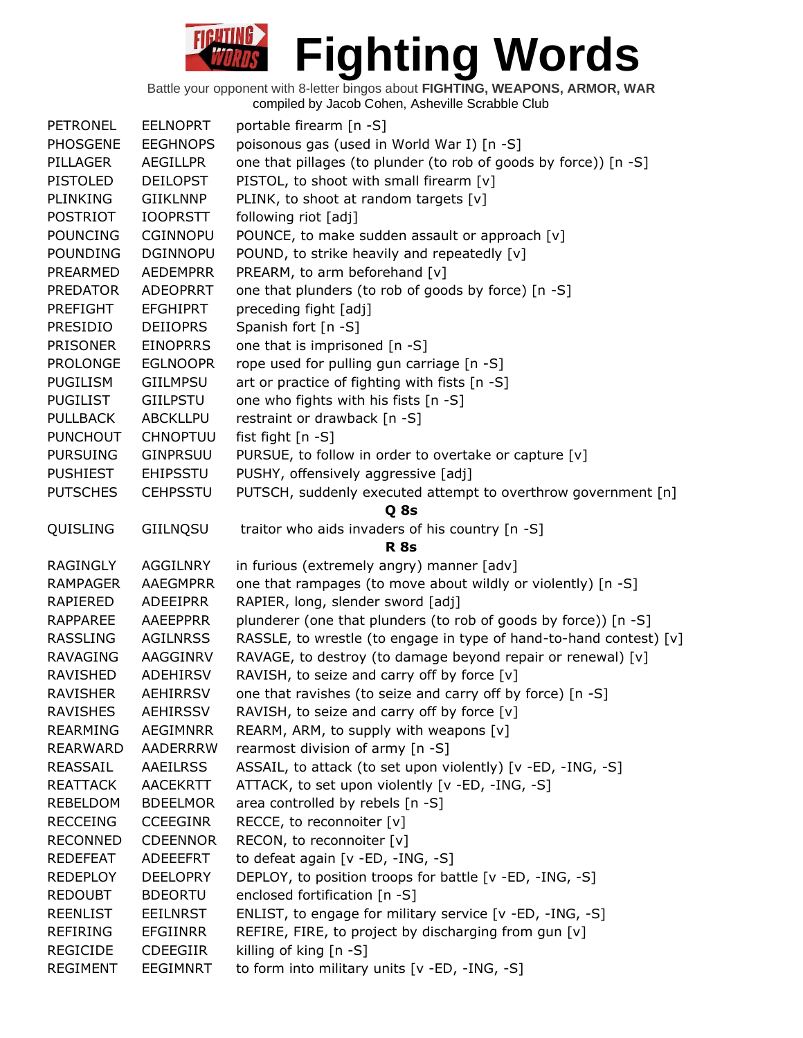| <b>PETRONEL</b> | <b>EELNOPRT</b> | portable firearm [n -S]                                            |
|-----------------|-----------------|--------------------------------------------------------------------|
| <b>PHOSGENE</b> | <b>EEGHNOPS</b> | poisonous gas (used in World War I) [n -S]                         |
| PILLAGER        | <b>AEGILLPR</b> | one that pillages (to plunder (to rob of goods by force)) [n -S]   |
| <b>PISTOLED</b> | <b>DEILOPST</b> | PISTOL, to shoot with small firearm [v]                            |
| PLINKING        | <b>GIIKLNNP</b> | PLINK, to shoot at random targets [v]                              |
| <b>POSTRIOT</b> | <b>IOOPRSTT</b> | following riot [adj]                                               |
| <b>POUNCING</b> | <b>CGINNOPU</b> | POUNCE, to make sudden assault or approach [v]                     |
| <b>POUNDING</b> | <b>DGINNOPU</b> | POUND, to strike heavily and repeatedly [v]                        |
| PREARMED        | <b>AEDEMPRR</b> | PREARM, to arm beforehand [v]                                      |
| <b>PREDATOR</b> | <b>ADEOPRRT</b> | one that plunders (to rob of goods by force) [n -S]                |
| PREFIGHT        | <b>EFGHIPRT</b> | preceding fight [adj]                                              |
| <b>PRESIDIO</b> | <b>DEIIOPRS</b> | Spanish fort [n -S]                                                |
| <b>PRISONER</b> | <b>EINOPRRS</b> | one that is imprisoned [n -S]                                      |
| <b>PROLONGE</b> | <b>EGLNOOPR</b> | rope used for pulling gun carriage [n -S]                          |
| <b>PUGILISM</b> | <b>GIILMPSU</b> | art or practice of fighting with fists [n -S]                      |
| <b>PUGILIST</b> | <b>GIILPSTU</b> | one who fights with his fists [n -S]                               |
| <b>PULLBACK</b> | <b>ABCKLLPU</b> | restraint or drawback [n -S]                                       |
| <b>PUNCHOUT</b> | <b>CHNOPTUU</b> | fist fight [n -S]                                                  |
| <b>PURSUING</b> | <b>GINPRSUU</b> | PURSUE, to follow in order to overtake or capture [v]              |
| <b>PUSHIEST</b> | <b>EHIPSSTU</b> | PUSHY, offensively aggressive [adj]                                |
| <b>PUTSCHES</b> | <b>CEHPSSTU</b> | PUTSCH, suddenly executed attempt to overthrow government [n]      |
|                 |                 | Q 8s                                                               |
| QUISLING        | GIILNQSU        | traitor who aids invaders of his country [n -S]                    |
|                 |                 | <b>R</b> 8s                                                        |
| <b>RAGINGLY</b> | <b>AGGILNRY</b> | in furious (extremely angry) manner [adv]                          |
| <b>RAMPAGER</b> | <b>AAEGMPRR</b> | one that rampages (to move about wildly or violently) [n -S]       |
| RAPIERED        | <b>ADEEIPRR</b> | RAPIER, long, slender sword [adj]                                  |
| RAPPAREE        | <b>AAEEPPRR</b> | plunderer (one that plunders (to rob of goods by force)) [n -S]    |
| <b>RASSLING</b> | <b>AGILNRSS</b> | RASSLE, to wrestle (to engage in type of hand-to-hand contest) [v] |
| <b>RAVAGING</b> | AAGGINRV        | RAVAGE, to destroy (to damage beyond repair or renewal) [v]        |
| RAVISHED        | ADEHIRSV        | RAVISH, to seize and carry off by force [v]                        |
| <b>RAVISHER</b> | <b>AEHIRRSV</b> | one that ravishes (to seize and carry off by force) [n -S]         |
| <b>RAVISHES</b> | <b>AEHIRSSV</b> | RAVISH, to seize and carry off by force [v]                        |
| <b>REARMING</b> | <b>AEGIMNRR</b> | REARM, ARM, to supply with weapons [v]                             |
| <b>REARWARD</b> | AADERRRW        | rearmost division of army [n -S]                                   |
| REASSAIL        | AAEILRSS        | ASSAIL, to attack (to set upon violently) [v -ED, -ING, -S]        |
| <b>REATTACK</b> | <b>AACEKRTT</b> | ATTACK, to set upon violently [v -ED, -ING, -S]                    |
| <b>REBELDOM</b> | <b>BDEELMOR</b> | area controlled by rebels [n -S]                                   |
| <b>RECCEING</b> | <b>CCEEGINR</b> | RECCE, to reconnoiter [v]                                          |
| <b>RECONNED</b> | <b>CDEENNOR</b> | RECON, to reconnoiter [v]                                          |
| <b>REDEFEAT</b> | ADEEEFRT        | to defeat again [v -ED, -ING, -S]                                  |
| <b>REDEPLOY</b> | <b>DEELOPRY</b> | DEPLOY, to position troops for battle [v -ED, -ING, -S]            |
| <b>REDOUBT</b>  | <b>BDEORTU</b>  | enclosed fortification [n -S]                                      |
| <b>REENLIST</b> | <b>EEILNRST</b> | ENLIST, to engage for military service [v -ED, -ING, -S]           |
| <b>REFIRING</b> | <b>EFGIINRR</b> | REFIRE, FIRE, to project by discharging from gun [v]               |
| <b>REGICIDE</b> | <b>CDEEGIIR</b> | killing of king [n -S]                                             |
| <b>REGIMENT</b> | <b>EEGIMNRT</b> | to form into military units [v -ED, -ING, -S]                      |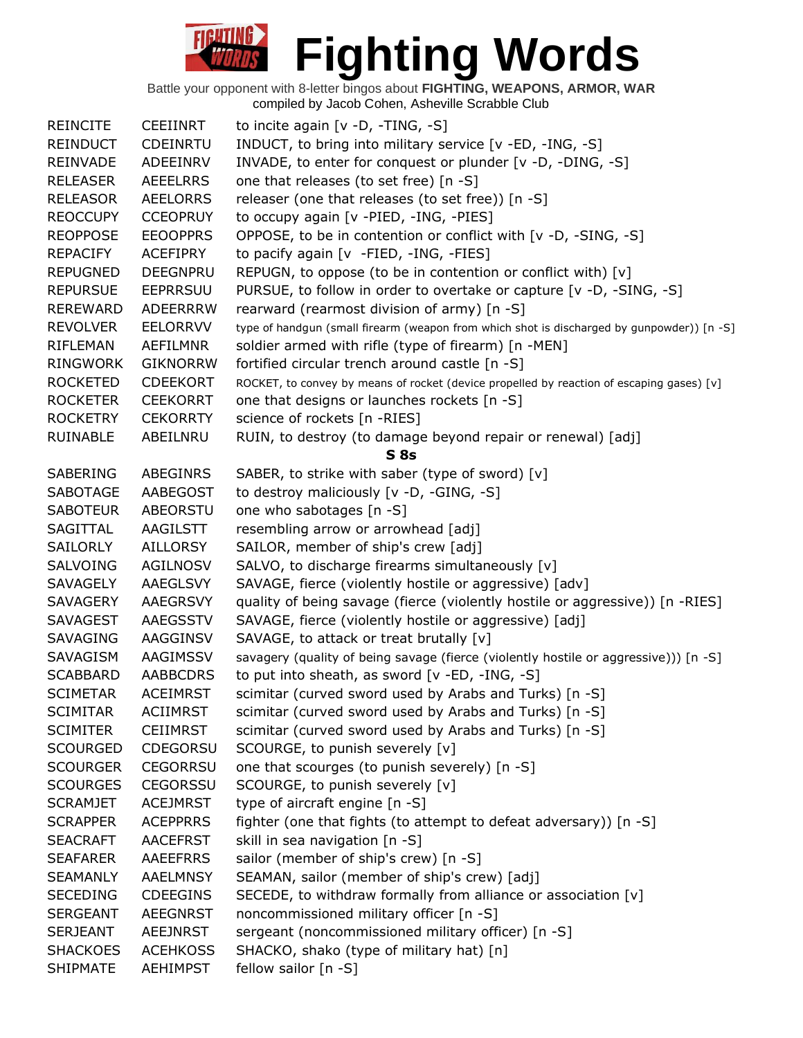| <b>REINCITE</b> | <b>CEEIINRT</b> | to incite again $[v -D, -TING, -S]$                                                        |
|-----------------|-----------------|--------------------------------------------------------------------------------------------|
| <b>REINDUCT</b> | CDEINRTU        | INDUCT, to bring into military service [v -ED, -ING, -S]                                   |
| <b>REINVADE</b> | ADEEINRV        | INVADE, to enter for conquest or plunder [v -D, -DING, -S]                                 |
| <b>RELEASER</b> | <b>AEEELRRS</b> | one that releases (to set free) [n -S]                                                     |
| <b>RELEASOR</b> | <b>AEELORRS</b> | releaser (one that releases (to set free)) [n -S]                                          |
| <b>REOCCUPY</b> | <b>CCEOPRUY</b> | to occupy again [v -PIED, -ING, -PIES]                                                     |
| <b>REOPPOSE</b> | <b>EEOOPPRS</b> | OPPOSE, to be in contention or conflict with [v -D, -SING, -S]                             |
| REPACIFY        | <b>ACEFIPRY</b> | to pacify again [v -FIED, -ING, -FIES]                                                     |
| <b>REPUGNED</b> | <b>DEEGNPRU</b> | REPUGN, to oppose (to be in contention or conflict with) [v]                               |
| <b>REPURSUE</b> | <b>EEPRRSUU</b> | PURSUE, to follow in order to overtake or capture [v -D, -SING, -S]                        |
| <b>REREWARD</b> | <b>ADEERRRW</b> | rearward (rearmost division of army) [n -S]                                                |
| <b>REVOLVER</b> | <b>EELORRVV</b> | type of handgun (small firearm (weapon from which shot is discharged by gunpowder)) [n -S] |
| <b>RIFLEMAN</b> | AEFILMNR        | soldier armed with rifle (type of firearm) [n -MEN]                                        |
| RINGWORK        | <b>GIKNORRW</b> | fortified circular trench around castle [n -S]                                             |
| <b>ROCKETED</b> | <b>CDEEKORT</b> | ROCKET, to convey by means of rocket (device propelled by reaction of escaping gases) [v]  |
| <b>ROCKETER</b> | <b>CEEKORRT</b> | one that designs or launches rockets [n -S]                                                |
| <b>ROCKETRY</b> | <b>CEKORRTY</b> | science of rockets [n -RIES]                                                               |
| RUINABLE        | ABEILNRU        | RUIN, to destroy (to damage beyond repair or renewal) [adj]                                |
|                 |                 | S8s                                                                                        |
| SABERING        | <b>ABEGINRS</b> | SABER, to strike with saber (type of sword) [v]                                            |
| <b>SABOTAGE</b> | AABEGOST        | to destroy maliciously [v -D, -GING, -S]                                                   |
| <b>SABOTEUR</b> | ABEORSTU        | one who sabotages [n -S]                                                                   |
| SAGITTAL        | AAGILSTT        | resembling arrow or arrowhead [adj]                                                        |
| <b>SAILORLY</b> | <b>AILLORSY</b> | SAILOR, member of ship's crew [adj]                                                        |
| SALVOING        | AGILNOSV        | SALVO, to discharge firearms simultaneously [v]                                            |
| <b>SAVAGELY</b> | AAEGLSVY        | SAVAGE, fierce (violently hostile or aggressive) [adv]                                     |
| SAVAGERY        | AAEGRSVY        | quality of being savage (fierce (violently hostile or aggressive)) [n -RIES]               |
| <b>SAVAGEST</b> | AAEGSSTV        | SAVAGE, fierce (violently hostile or aggressive) [adj]                                     |
| <b>SAVAGING</b> | AAGGINSV        | SAVAGE, to attack or treat brutally [v]                                                    |
| SAVAGISM        | AAGIMSSV        | savagery (quality of being savage (fierce (violently hostile or aggressive))) [n -S]       |
| <b>SCABBARD</b> | <b>AABBCDRS</b> | to put into sheath, as sword [v -ED, -ING, -S]                                             |
| <b>SCIMETAR</b> | <b>ACEIMRST</b> | scimitar (curved sword used by Arabs and Turks) [n -S]                                     |
| <b>SCIMITAR</b> | <b>ACIIMRST</b> | scimitar (curved sword used by Arabs and Turks) [n -S]                                     |
| <b>SCIMITER</b> | <b>CEIIMRST</b> | scimitar (curved sword used by Arabs and Turks) [n -S]                                     |
| <b>SCOURGED</b> | <b>CDEGORSU</b> | SCOURGE, to punish severely [v]                                                            |
| <b>SCOURGER</b> | <b>CEGORRSU</b> | one that scourges (to punish severely) [n -S]                                              |
| <b>SCOURGES</b> | <b>CEGORSSU</b> | SCOURGE, to punish severely [v]                                                            |
| <b>SCRAMJET</b> | <b>ACEJMRST</b> | type of aircraft engine [n -S]                                                             |
| <b>SCRAPPER</b> | <b>ACEPPRRS</b> | fighter (one that fights (to attempt to defeat adversary)) [n -S]                          |
| <b>SEACRAFT</b> | <b>AACEFRST</b> | skill in sea navigation [n -S]                                                             |
| <b>SEAFARER</b> | <b>AAEEFRRS</b> | sailor (member of ship's crew) [n -S]                                                      |
| <b>SEAMANLY</b> | <b>AAELMNSY</b> | SEAMAN, sailor (member of ship's crew) [adj]                                               |
| <b>SECEDING</b> | <b>CDEEGINS</b> | SECEDE, to withdraw formally from alliance or association [v]                              |
| <b>SERGEANT</b> | <b>AEEGNRST</b> | noncommissioned military officer [n -S]                                                    |
| <b>SERJEANT</b> | <b>AEEJNRST</b> | sergeant (noncommissioned military officer) [n -S]                                         |
| <b>SHACKOES</b> | <b>ACEHKOSS</b> | SHACKO, shako (type of military hat) [n]                                                   |
| <b>SHIPMATE</b> | <b>AEHIMPST</b> | fellow sailor [n -S]                                                                       |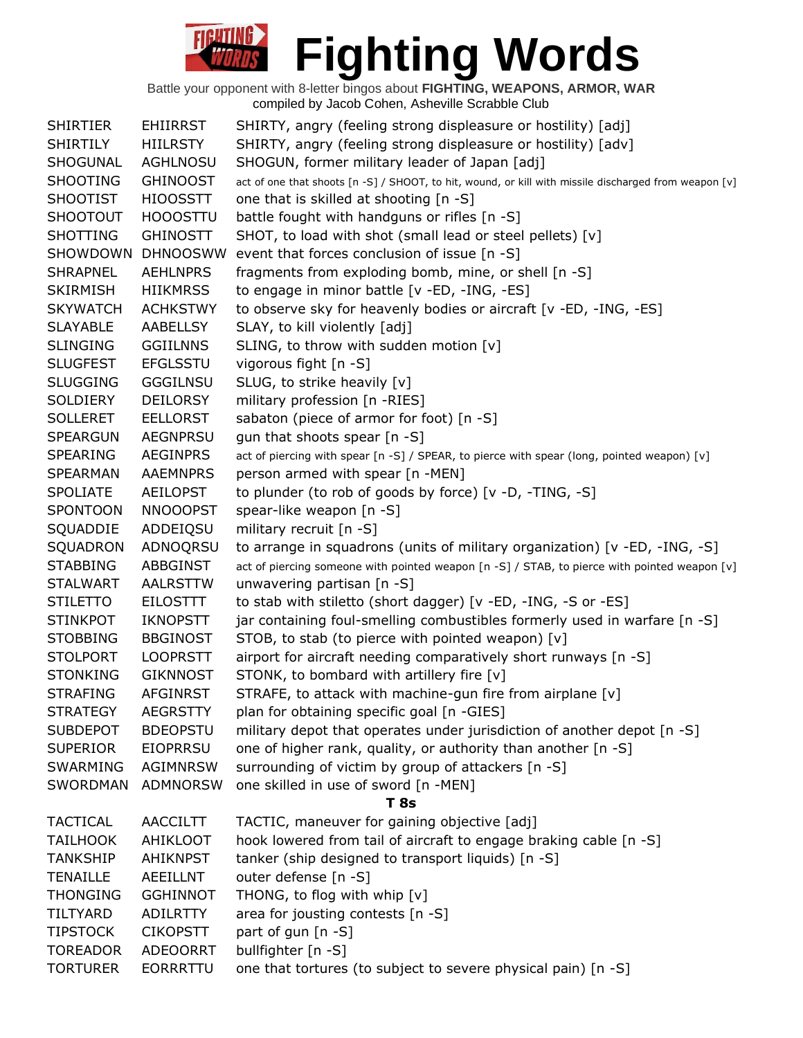| <b>SHIRTIER</b> | <b>EHIIRRST</b> | SHIRTY, angry (feeling strong displeasure or hostility) [adj]                                         |
|-----------------|-----------------|-------------------------------------------------------------------------------------------------------|
| <b>SHIRTILY</b> | <b>HIILRSTY</b> | SHIRTY, angry (feeling strong displeasure or hostility) [adv]                                         |
| SHOGUNAL        | AGHLNOSU        | SHOGUN, former military leader of Japan [adj]                                                         |
| <b>SHOOTING</b> | <b>GHINOOST</b> | act of one that shoots [n -S] / SHOOT, to hit, wound, or kill with missile discharged from weapon [v] |
| <b>SHOOTIST</b> | <b>HIOOSSTT</b> | one that is skilled at shooting [n -S]                                                                |
| <b>SHOOTOUT</b> | <b>HOOOSTTU</b> | battle fought with handguns or rifles [n -S]                                                          |
| <b>SHOTTING</b> | <b>GHINOSTT</b> | SHOT, to load with shot (small lead or steel pellets) [v]                                             |
| SHOWDOWN        | <b>DHNOOSWW</b> | event that forces conclusion of issue [n -S]                                                          |
| <b>SHRAPNEL</b> | <b>AEHLNPRS</b> | fragments from exploding bomb, mine, or shell [n -S]                                                  |
| <b>SKIRMISH</b> | <b>HIIKMRSS</b> | to engage in minor battle [v -ED, -ING, -ES]                                                          |
| <b>SKYWATCH</b> | <b>ACHKSTWY</b> | to observe sky for heavenly bodies or aircraft [v -ED, -ING, -ES]                                     |
| <b>SLAYABLE</b> | AABELLSY        | SLAY, to kill violently [adj]                                                                         |
| <b>SLINGING</b> | <b>GGIILNNS</b> | SLING, to throw with sudden motion [v]                                                                |
| <b>SLUGFEST</b> | <b>EFGLSSTU</b> | vigorous fight [n -S]                                                                                 |
| <b>SLUGGING</b> | <b>GGGILNSU</b> | SLUG, to strike heavily [v]                                                                           |
| SOLDIERY        | <b>DEILORSY</b> | military profession [n -RIES]                                                                         |
| <b>SOLLERET</b> | <b>EELLORST</b> | sabaton (piece of armor for foot) [n -S]                                                              |
| <b>SPEARGUN</b> | <b>AEGNPRSU</b> | gun that shoots spear [n -S]                                                                          |
| <b>SPEARING</b> | <b>AEGINPRS</b> | act of piercing with spear [n -S] / SPEAR, to pierce with spear (long, pointed weapon) [v]            |
| <b>SPEARMAN</b> | AAEMNPRS        | person armed with spear [n -MEN]                                                                      |
| <b>SPOLIATE</b> | AEILOPST        | to plunder (to rob of goods by force) [v -D, -TING, -S]                                               |
| <b>SPONTOON</b> | <b>NNOOOPST</b> | spear-like weapon [n -S]                                                                              |
| SQUADDIE        | ADDEIQSU        | military recruit [n -S]                                                                               |
| SQUADRON        | ADNOQRSU        | to arrange in squadrons (units of military organization) [ $v$ -ED, -ING, -S]                         |
| <b>STABBING</b> | ABBGINST        | act of piercing someone with pointed weapon [n -S] / STAB, to pierce with pointed weapon [v]          |
| <b>STALWART</b> | <b>AALRSTTW</b> | unwavering partisan [n -S]                                                                            |
| <b>STILETTO</b> | EILOSTTT        | to stab with stiletto (short dagger) [v -ED, -ING, -S or -ES]                                         |
| <b>STINKPOT</b> | <b>IKNOPSTT</b> | jar containing foul-smelling combustibles formerly used in warfare [n -S]                             |
| <b>STOBBING</b> | <b>BBGINOST</b> | STOB, to stab (to pierce with pointed weapon) [v]                                                     |
| <b>STOLPORT</b> | <b>LOOPRSTT</b> | airport for aircraft needing comparatively short runways [n -S]                                       |
| <b>STONKING</b> | <b>GIKNNOST</b> | STONK, to bombard with artillery fire [v]                                                             |
| <b>STRAFING</b> | <b>AFGINRST</b> | STRAFE, to attack with machine-gun fire from airplane [v]                                             |
| <b>STRATEGY</b> | <b>AEGRSTTY</b> | plan for obtaining specific goal [n -GIES]                                                            |
| <b>SUBDEPOT</b> | <b>BDEOPSTU</b> | military depot that operates under jurisdiction of another depot [n -S]                               |
| <b>SUPERIOR</b> | <b>EIOPRRSU</b> | one of higher rank, quality, or authority than another [n -S]                                         |
| SWARMING        | <b>AGIMNRSW</b> | surrounding of victim by group of attackers [n -S]                                                    |
| SWORDMAN        | <b>ADMNORSW</b> | one skilled in use of sword [n -MEN]                                                                  |
|                 |                 | T <sub>8s</sub>                                                                                       |
| <b>TACTICAL</b> | <b>AACCILTT</b> | TACTIC, maneuver for gaining objective [adj]                                                          |
| <b>TAILHOOK</b> | <b>AHIKLOOT</b> | hook lowered from tail of aircraft to engage braking cable [n -S]                                     |
| <b>TANKSHIP</b> | <b>AHIKNPST</b> | tanker (ship designed to transport liquids) [n -S]                                                    |
| <b>TENAILLE</b> | <b>AEEILLNT</b> | outer defense [n -S]                                                                                  |
| <b>THONGING</b> | <b>GGHINNOT</b> | THONG, to flog with whip [v]                                                                          |
| <b>TILTYARD</b> | <b>ADILRTTY</b> | area for jousting contests [n -S]                                                                     |
| <b>TIPSTOCK</b> | <b>CIKOPSTT</b> | part of gun [n -S]                                                                                    |
| <b>TOREADOR</b> | <b>ADEOORRT</b> | bullfighter [n -S]                                                                                    |
| <b>TORTURER</b> | <b>EORRRTTU</b> | one that tortures (to subject to severe physical pain) [n -S]                                         |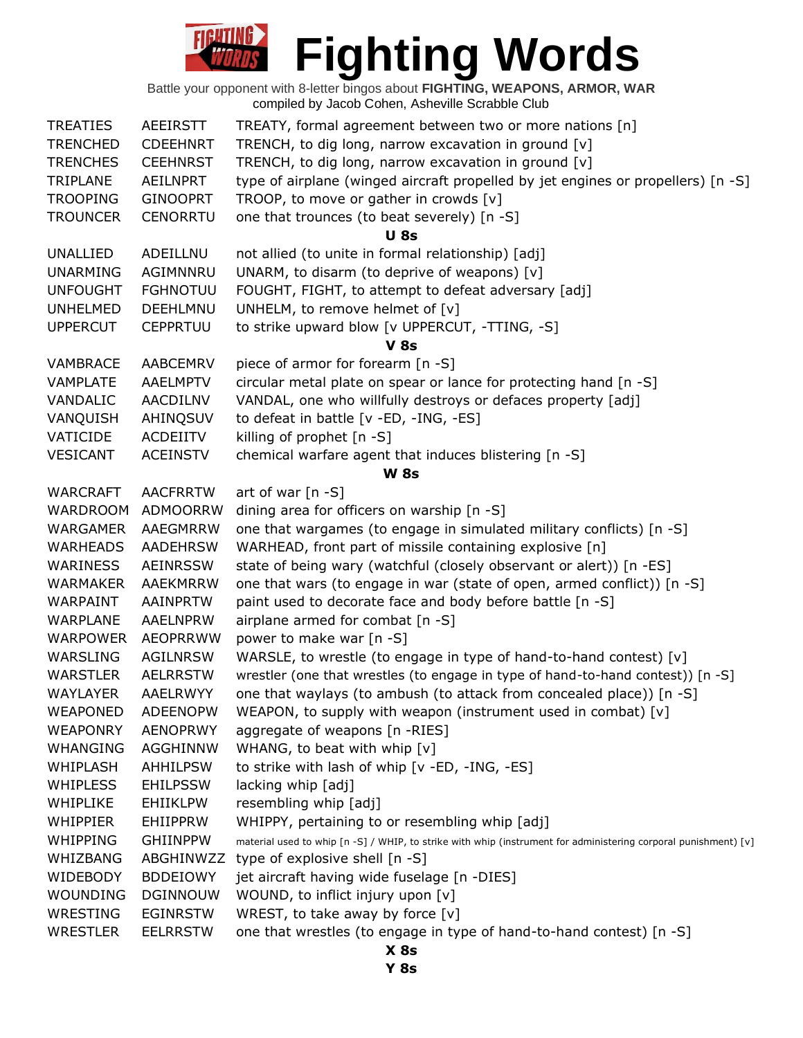

| <b>WRESTLER</b> | <b>EELRRSTW</b> | one that wrestles (to engage in type of hand-to-hand contest) [n -S]<br>$X$ 8s                                  |
|-----------------|-----------------|-----------------------------------------------------------------------------------------------------------------|
| WRESTING        | <b>EGINRSTW</b> | WREST, to take away by force $[v]$                                                                              |
| WOUNDING        | <b>DGINNOUW</b> | WOUND, to inflict injury upon [v]                                                                               |
| WIDEBODY        | <b>BDDEIOWY</b> | jet aircraft having wide fuselage [n -DIES]                                                                     |
| WHIZBANG        | ABGHINWZZ       | type of explosive shell [n -S]                                                                                  |
|                 |                 | material used to whip [n -S] / WHIP, to strike with whip (instrument for administering corporal punishment) [v] |
| WHIPPING        | <b>GHIINPPW</b> | WHIPPY, pertaining to or resembling whip [adj]                                                                  |
| <b>WHIPPIER</b> | <b>EHIIPPRW</b> |                                                                                                                 |
| WHIPLIKE        | <b>EHIIKLPW</b> | resembling whip [adj]                                                                                           |
| <b>WHIPLESS</b> | <b>EHILPSSW</b> | lacking whip [adj]                                                                                              |
| WHIPLASH        | AHHILPSW        | to strike with lash of whip [v -ED, -ING, -ES]                                                                  |
| WHANGING        | AGGHINNW        | WHANG, to beat with whip [v]                                                                                    |
| <b>WEAPONRY</b> | <b>AENOPRWY</b> | aggregate of weapons [n -RIES]                                                                                  |
| <b>WEAPONED</b> | <b>ADEENOPW</b> | WEAPON, to supply with weapon (instrument used in combat) [v]                                                   |
| <b>WAYLAYER</b> | <b>AAELRWYY</b> | one that waylays (to ambush (to attack from concealed place)) [n -S]                                            |
| <b>WARSTLER</b> | <b>AELRRSTW</b> | wrestler (one that wrestles (to engage in type of hand-to-hand contest)) [n -S]                                 |
| WARSLING        | AGILNRSW        | WARSLE, to wrestle (to engage in type of hand-to-hand contest) [v]                                              |
| <b>WARPOWER</b> | <b>AEOPRRWW</b> | power to make war [n -S]                                                                                        |
| <b>WARPLANE</b> | <b>AAELNPRW</b> | airplane armed for combat [n -S]                                                                                |
| WARPAINT        | AAINPRTW        | paint used to decorate face and body before battle [n -S]                                                       |
| <b>WARMAKER</b> | AAEKMRRW        | one that wars (to engage in war (state of open, armed conflict)) [n -S]                                         |
| WARINESS        | <b>AEINRSSW</b> | state of being wary (watchful (closely observant or alert)) [n -ES]                                             |
| <b>WARHEADS</b> | <b>AADEHRSW</b> | WARHEAD, front part of missile containing explosive [n]                                                         |
| <b>WARGAMER</b> | AAEGMRRW        | one that wargames (to engage in simulated military conflicts) [n -S]                                            |
| <b>WARDROOM</b> | ADMOORRW        | dining area for officers on warship [n -S]                                                                      |
| WARCRAFT        | <b>AACFRRTW</b> | art of war $[n -S]$                                                                                             |
|                 |                 | <b>W 8s</b>                                                                                                     |
| <b>VESICANT</b> | <b>ACEINSTV</b> | chemical warfare agent that induces blistering [n -S]                                                           |
| VATICIDE        | <b>ACDEIITV</b> | killing of prophet [n -S]                                                                                       |
| VANQUISH        | AHINQSUV        | to defeat in battle [v -ED, -ING, -ES]                                                                          |
| <b>VANDALIC</b> | AACDILNV        | VANDAL, one who willfully destroys or defaces property [adj]                                                    |
| <b>VAMPLATE</b> | <b>AAELMPTV</b> | circular metal plate on spear or lance for protecting hand [n -S]                                               |
| VAMBRACE        | <b>AABCEMRV</b> | piece of armor for forearm [n -S]                                                                               |
|                 |                 | V 8s                                                                                                            |
| <b>UPPERCUT</b> | <b>CEPPRTUU</b> | to strike upward blow [v UPPERCUT, -TTING, -S]                                                                  |
| <b>UNHELMED</b> | DEEHLMNU        | UNHELM, to remove helmet of [v]                                                                                 |
| <b>UNFOUGHT</b> | <b>FGHNOTUU</b> | FOUGHT, FIGHT, to attempt to defeat adversary [adj]                                                             |
| <b>UNARMING</b> | AGIMNNRU        | UNARM, to disarm (to deprive of weapons) [v]                                                                    |
| UNALLIED        | ADEILLNU        | not allied (to unite in formal relationship) [adj]                                                              |
|                 |                 | <b>U</b> 8s                                                                                                     |
| <b>TROUNCER</b> | <b>CENORRTU</b> | one that trounces (to beat severely) [n -S]                                                                     |
| <b>TROOPING</b> | <b>GINOOPRT</b> | TROOP, to move or gather in crowds [v]                                                                          |
| TRIPLANE        | <b>AEILNPRT</b> | type of airplane (winged aircraft propelled by jet engines or propellers) [n -S]                                |
| <b>TRENCHES</b> | <b>CEEHNRST</b> | TRENCH, to dig long, narrow excavation in ground [v]                                                            |
| <b>TRENCHED</b> | <b>CDEEHNRT</b> | TRENCH, to dig long, narrow excavation in ground [v]                                                            |
| <b>TREATIES</b> | <b>AEEIRSTT</b> | TREATY, formal agreement between two or more nations [n]                                                        |

**Y 8s**